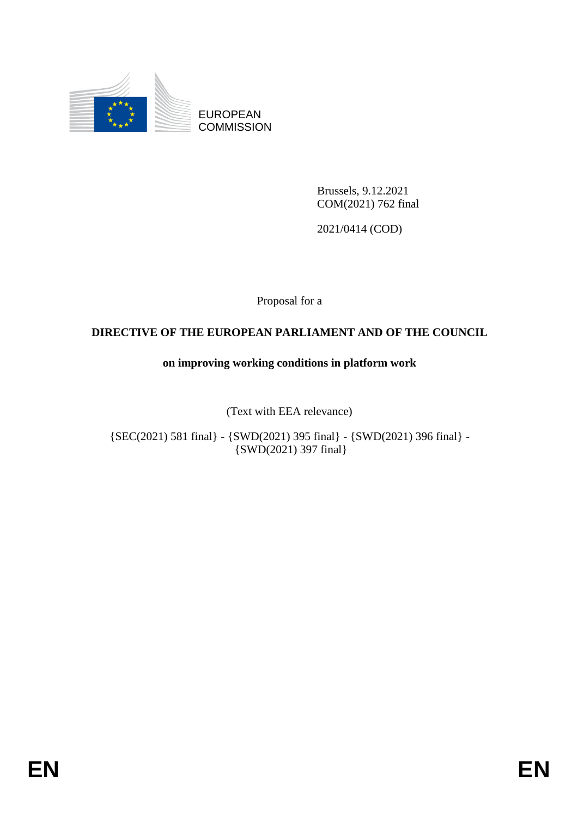

EUROPEAN **COMMISSION** 

> Brussels, 9.12.2021 COM(2021) 762 final

2021/0414 (COD)

Proposal for a

# **DIRECTIVE OF THE EUROPEAN PARLIAMENT AND OF THE COUNCIL**

# **on improving working conditions in platform work**

(Text with EEA relevance)

{SEC(2021) 581 final} - {SWD(2021) 395 final} - {SWD(2021) 396 final} - {SWD(2021) 397 final}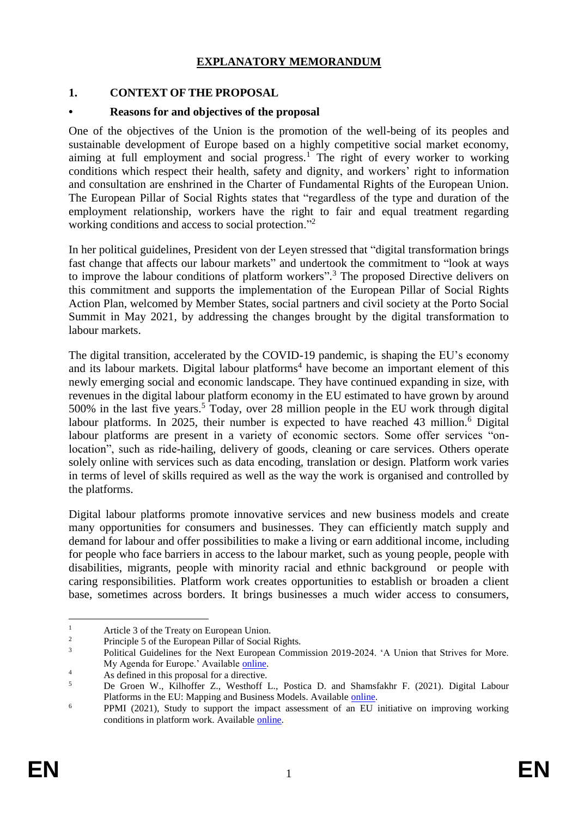# **EXPLANATORY MEMORANDUM**

# **1. CONTEXT OF THE PROPOSAL**

## **• Reasons for and objectives of the proposal**

One of the objectives of the Union is the promotion of the well-being of its peoples and sustainable development of Europe based on a highly competitive social market economy, aiming at full employment and social progress.<sup>1</sup> The right of every worker to working conditions which respect their health, safety and dignity, and workers' right to information and consultation are enshrined in the Charter of Fundamental Rights of the European Union. The European Pillar of Social Rights states that "regardless of the type and duration of the employment relationship, workers have the right to fair and equal treatment regarding working conditions and access to social protection."<sup>2</sup>

In her political guidelines, President von der Leyen stressed that "digital transformation brings fast change that affects our labour markets" and undertook the commitment to "look at ways to improve the labour conditions of platform workers".<sup>3</sup> The proposed Directive delivers on this commitment and supports the implementation of the European Pillar of Social Rights Action Plan, welcomed by Member States, social partners and civil society at the Porto Social Summit in May 2021, by addressing the changes brought by the digital transformation to labour markets.

The digital transition, accelerated by the COVID-19 pandemic, is shaping the EU's economy and its labour markets. Digital labour platforms<sup>4</sup> have become an important element of this newly emerging social and economic landscape. They have continued expanding in size, with revenues in the digital labour platform economy in the EU estimated to have grown by around 500% in the last five years.<sup>5</sup> Today, over 28 million people in the EU work through digital labour platforms. In 2025, their number is expected to have reached 43 million.<sup>6</sup> Digital labour platforms are present in a variety of economic sectors. Some offer services "onlocation", such as ride-hailing, delivery of goods, cleaning or care services. Others operate solely online with services such as data encoding, translation or design. Platform work varies in terms of level of skills required as well as the way the work is organised and controlled by the platforms.

Digital labour platforms promote innovative services and new business models and create many opportunities for consumers and businesses. They can efficiently match supply and demand for labour and offer possibilities to make a living or earn additional income, including for people who face barriers in access to the labour market, such as young people, people with disabilities, migrants, people with minority racial and ethnic background or people with caring responsibilities. Platform work creates opportunities to establish or broaden a client base, sometimes across borders. It brings businesses a much wider access to consumers,

 $\mathbf{1}$ <sup>1</sup> Article 3 of the Treaty on European Union.

 $\frac{2}{3}$  Principle 5 of the European Pillar of Social Rights.<br>Belities Cuidelines for the Next European Comm

<sup>3</sup> Political Guidelines for the Next European Commission 2019-2024. 'A Union that Strives for More. My Agenda for Europe.' Available [online.](https://www.google.com/url?sa=t&rct=j&q=&esrc=s&source=web&cd=&ved=2ahUKEwil94y4t47sAhVSRBoKHQZ4DA8QFjAAegQIAxAB&url=https%3A%2F%2Fec.europa.eu%2Fcommission%2Fsites%2Fbeta-political%2Ffiles%2Fpolitical-guidelines-next-commission_en.pdf&usg=AOvVaw2OKjyG_VINutGTPCgG6LbG)

<sup>4</sup> As defined in this proposal for a directive.

<sup>5</sup> De Groen W., Kilhoffer Z., Westhoff L., Postica D. and Shamsfakhr F. (2021). Digital Labour Platforms in the EU: Mapping and Business Models. Available [online.](https://ec.europa.eu/social/main.jsp?catId=738&langId=en&pubId=8399&furtherPubs=yes)

<sup>6</sup> PPMI (2021), Study to support the impact assessment of an EU initiative on improving working conditions in platform work. Available [online.](https://ec.europa.eu/social/main.jsp?catId=738&langId=en&pubId=8428&furtherPubs=yes)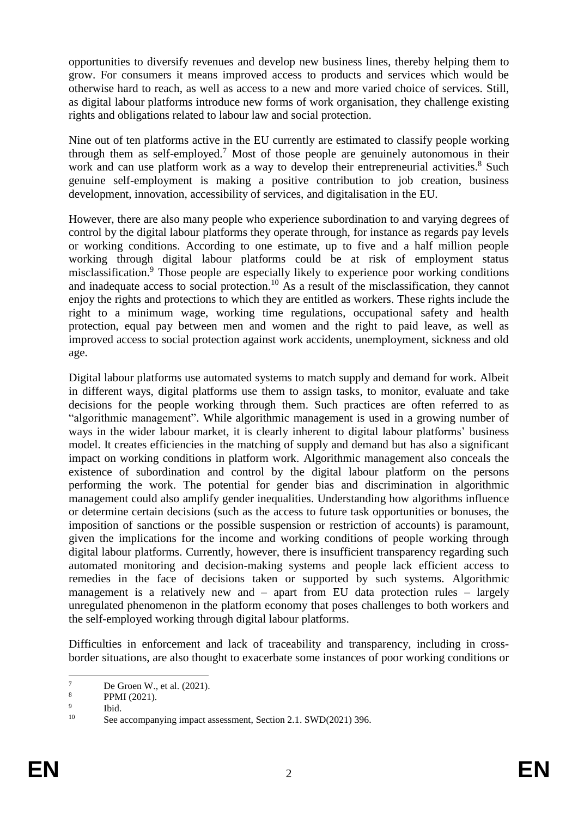opportunities to diversify revenues and develop new business lines, thereby helping them to grow. For consumers it means improved access to products and services which would be otherwise hard to reach, as well as access to a new and more varied choice of services. Still, as digital labour platforms introduce new forms of work organisation, they challenge existing rights and obligations related to labour law and social protection.

Nine out of ten platforms active in the EU currently are estimated to classify people working through them as self-employed. <sup>7</sup> Most of those people are genuinely autonomous in their work and can use platform work as a way to develop their entrepreneurial activities.<sup>8</sup> Such genuine self-employment is making a positive contribution to job creation, business development, innovation, accessibility of services, and digitalisation in the EU.

However, there are also many people who experience subordination to and varying degrees of control by the digital labour platforms they operate through, for instance as regards pay levels or working conditions. According to one estimate, up to five and a half million people working through digital labour platforms could be at risk of employment status misclassification.<sup>9</sup> Those people are especially likely to experience poor working conditions and inadequate access to social protection.<sup>10</sup> As a result of the misclassification, they cannot enjoy the rights and protections to which they are entitled as workers. These rights include the right to a minimum wage, working time regulations, occupational safety and health protection, equal pay between men and women and the right to paid leave, as well as improved access to social protection against work accidents, unemployment, sickness and old age.

Digital labour platforms use automated systems to match supply and demand for work. Albeit in different ways, digital platforms use them to assign tasks, to monitor, evaluate and take decisions for the people working through them. Such practices are often referred to as "algorithmic management". While algorithmic management is used in a growing number of ways in the wider labour market, it is clearly inherent to digital labour platforms' business model. It creates efficiencies in the matching of supply and demand but has also a significant impact on working conditions in platform work. Algorithmic management also conceals the existence of subordination and control by the digital labour platform on the persons performing the work. The potential for gender bias and discrimination in algorithmic management could also amplify gender inequalities. Understanding how algorithms influence or determine certain decisions (such as the access to future task opportunities or bonuses, the imposition of sanctions or the possible suspension or restriction of accounts) is paramount, given the implications for the income and working conditions of people working through digital labour platforms. Currently, however, there is insufficient transparency regarding such automated monitoring and decision-making systems and people lack efficient access to remedies in the face of decisions taken or supported by such systems. Algorithmic management is a relatively new and – apart from EU data protection rules – largely unregulated phenomenon in the platform economy that poses challenges to both workers and the self-employed working through digital labour platforms.

Difficulties in enforcement and lack of traceability and transparency, including in crossborder situations, are also thought to exacerbate some instances of poor working conditions or

 $\overline{\tau}$  $\frac{7}{8}$  De Groen W., et al. (2021).

PPMI (2021).

 $\overline{9}$ Ibid.

<sup>&</sup>lt;sup>10</sup> See accompanying impact assessment, Section 2.1. SWD(2021) 396.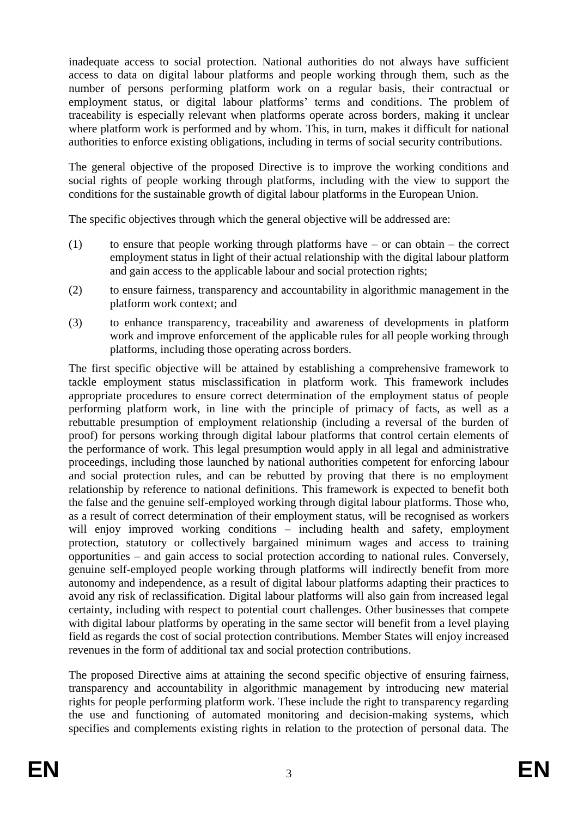inadequate access to social protection. National authorities do not always have sufficient access to data on digital labour platforms and people working through them, such as the number of persons performing platform work on a regular basis, their contractual or employment status, or digital labour platforms' terms and conditions. The problem of traceability is especially relevant when platforms operate across borders, making it unclear where platform work is performed and by whom. This, in turn, makes it difficult for national authorities to enforce existing obligations, including in terms of social security contributions.

The general objective of the proposed Directive is to improve the working conditions and social rights of people working through platforms, including with the view to support the conditions for the sustainable growth of digital labour platforms in the European Union.

The specific objectives through which the general objective will be addressed are:

- (1) to ensure that people working through platforms have or can obtain the correct employment status in light of their actual relationship with the digital labour platform and gain access to the applicable labour and social protection rights;
- (2) to ensure fairness, transparency and accountability in algorithmic management in the platform work context; and
- (3) to enhance transparency, traceability and awareness of developments in platform work and improve enforcement of the applicable rules for all people working through platforms, including those operating across borders.

The first specific objective will be attained by establishing a comprehensive framework to tackle employment status misclassification in platform work. This framework includes appropriate procedures to ensure correct determination of the employment status of people performing platform work, in line with the principle of primacy of facts, as well as a rebuttable presumption of employment relationship (including a reversal of the burden of proof) for persons working through digital labour platforms that control certain elements of the performance of work. This legal presumption would apply in all legal and administrative proceedings, including those launched by national authorities competent for enforcing labour and social protection rules, and can be rebutted by proving that there is no employment relationship by reference to national definitions. This framework is expected to benefit both the false and the genuine self-employed working through digital labour platforms. Those who, as a result of correct determination of their employment status, will be recognised as workers will enjoy improved working conditions – including health and safety, employment protection, statutory or collectively bargained minimum wages and access to training opportunities – and gain access to social protection according to national rules. Conversely, genuine self-employed people working through platforms will indirectly benefit from more autonomy and independence, as a result of digital labour platforms adapting their practices to avoid any risk of reclassification. Digital labour platforms will also gain from increased legal certainty, including with respect to potential court challenges. Other businesses that compete with digital labour platforms by operating in the same sector will benefit from a level playing field as regards the cost of social protection contributions. Member States will enjoy increased revenues in the form of additional tax and social protection contributions.

The proposed Directive aims at attaining the second specific objective of ensuring fairness, transparency and accountability in algorithmic management by introducing new material rights for people performing platform work. These include the right to transparency regarding the use and functioning of automated monitoring and decision-making systems, which specifies and complements existing rights in relation to the protection of personal data. The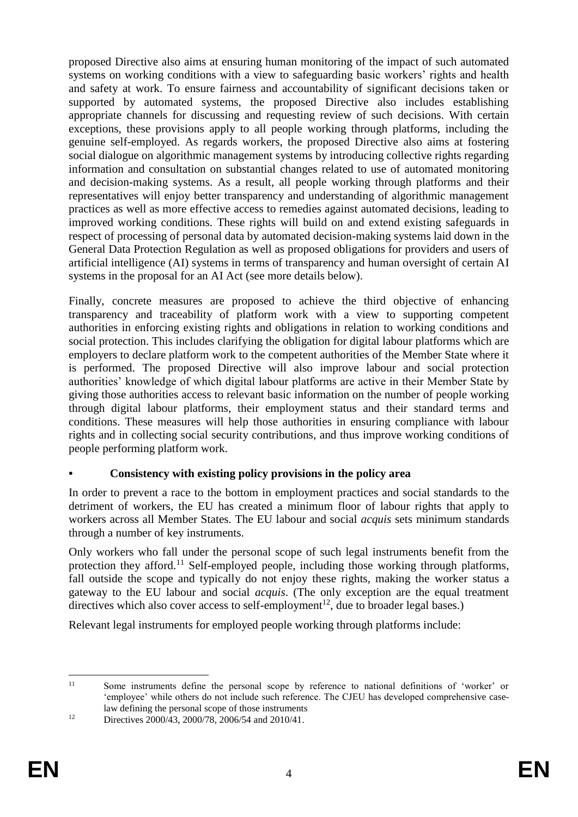proposed Directive also aims at ensuring human monitoring of the impact of such automated systems on working conditions with a view to safeguarding basic workers' rights and health and safety at work. To ensure fairness and accountability of significant decisions taken or supported by automated systems, the proposed Directive also includes establishing appropriate channels for discussing and requesting review of such decisions. With certain exceptions, these provisions apply to all people working through platforms, including the genuine self-employed. As regards workers, the proposed Directive also aims at fostering social dialogue on algorithmic management systems by introducing collective rights regarding information and consultation on substantial changes related to use of automated monitoring and decision-making systems. As a result, all people working through platforms and their representatives will enjoy better transparency and understanding of algorithmic management practices as well as more effective access to remedies against automated decisions, leading to improved working conditions. These rights will build on and extend existing safeguards in respect of processing of personal data by automated decision-making systems laid down in the General Data Protection Regulation as well as proposed obligations for providers and users of artificial intelligence (AI) systems in terms of transparency and human oversight of certain AI systems in the proposal for an AI Act (see more details below).

Finally, concrete measures are proposed to achieve the third objective of enhancing transparency and traceability of platform work with a view to supporting competent authorities in enforcing existing rights and obligations in relation to working conditions and social protection. This includes clarifying the obligation for digital labour platforms which are employers to declare platform work to the competent authorities of the Member State where it is performed. The proposed Directive will also improve labour and social protection authorities' knowledge of which digital labour platforms are active in their Member State by giving those authorities access to relevant basic information on the number of people working through digital labour platforms, their employment status and their standard terms and conditions. These measures will help those authorities in ensuring compliance with labour rights and in collecting social security contributions, and thus improve working conditions of people performing platform work.

# **• Consistency with existing policy provisions in the policy area**

In order to prevent a race to the bottom in employment practices and social standards to the detriment of workers, the EU has created a minimum floor of labour rights that apply to workers across all Member States. The EU labour and social *acquis* sets minimum standards through a number of key instruments.

Only workers who fall under the personal scope of such legal instruments benefit from the protection they afford.<sup>11</sup> Self-employed people, including those working through platforms, fall outside the scope and typically do not enjoy these rights, making the worker status a gateway to the EU labour and social *acquis*. (The only exception are the equal treatment directives which also cover access to self-employment<sup>12</sup>, due to broader legal bases.)

Relevant legal instruments for employed people working through platforms include:

 $11$ <sup>11</sup> Some instruments define the personal scope by reference to national definitions of 'worker' or 'employee' while others do not include such reference. The CJEU has developed comprehensive caselaw defining the personal scope of those instruments

<sup>&</sup>lt;sup>12</sup> Directives 2000/43, 2000/78, 2006/54 and 2010/41.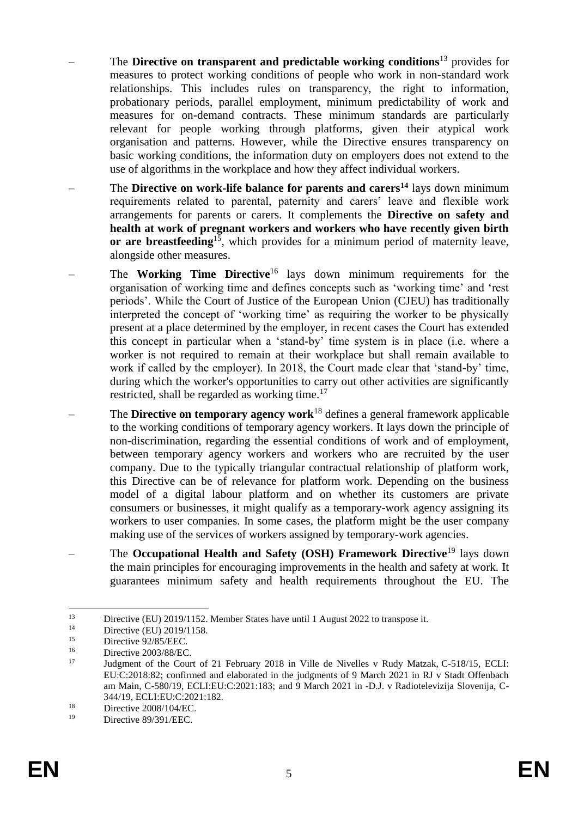- The **Directive on transparent and predictable working conditions**<sup>13</sup> provides for measures to protect working conditions of people who work in non-standard work relationships. This includes rules on transparency, the right to information, probationary periods, parallel employment, minimum predictability of work and measures for on-demand contracts. These minimum standards are particularly relevant for people working through platforms, given their atypical work organisation and patterns. However, while the Directive ensures transparency on basic working conditions, the information duty on employers does not extend to the use of algorithms in the workplace and how they affect individual workers.
- The **Directive on work-life balance for parents and carers<sup>14</sup>** lays down minimum requirements related to parental, paternity and carers' leave and flexible work arrangements for parents or carers. It complements the **Directive on safety and health at work of pregnant workers and workers who have recently given birth**  or are breastfeeding<sup>15</sup>, which provides for a minimum period of maternity leave, alongside other measures.
- The **Working Time Directive**<sup>16</sup> lays down minimum requirements for the organisation of working time and defines concepts such as 'working time' and 'rest periods'. While the Court of Justice of the European Union (CJEU) has traditionally interpreted the concept of 'working time' as requiring the worker to be physically present at a place determined by the employer, in recent cases the Court has extended this concept in particular when a 'stand-by' time system is in place (i.e. where a worker is not required to remain at their workplace but shall remain available to work if called by the employer). In 2018, the Court made clear that 'stand-by' time, during which the worker's opportunities to carry out other activities are significantly restricted, shall be regarded as working time.<sup>17</sup>
- The **Directive on temporary agency work**<sup>18</sup> defines a general framework applicable to the working conditions of temporary agency workers. It lays down the principle of non-discrimination, regarding the essential conditions of work and of employment, between temporary agency workers and workers who are recruited by the user company. Due to the typically triangular contractual relationship of platform work, this Directive can be of relevance for platform work. Depending on the business model of a digital labour platform and on whether its customers are private consumers or businesses, it might qualify as a temporary-work agency assigning its workers to user companies. In some cases, the platform might be the user company making use of the services of workers assigned by temporary-work agencies.
- The **Occupational Health and Safety (OSH) Framework Directive**<sup>19</sup> lays down the main principles for encouraging improvements in the health and safety at work. It guarantees minimum safety and health requirements throughout the EU. The

<u>.</u>

<sup>13</sup> Directive (EU) 2019/1152. Member States have until 1 August 2022 to transpose it.

<sup>&</sup>lt;sup>14</sup> Directive (EU) 2019/1158.

<sup>&</sup>lt;sup>15</sup> Directive 92/85/EEC.<br>
Directive 2003/88/EC

 $16$  Directive 2003/88/EC.

<sup>17</sup> Judgment of the Court of 21 February 2018 in Ville de Nivelles v Rudy Matzak, [C-518/15,](http://curia.europa.eu/juris/liste.jsf?oqp=&for=&mat=or&jge=&td=%3BALL&jur=C%2CT%2CF&num=C-518%252F15&page=1&dates=&pcs=Oor&lg=&pro=&nat=or&cit=none%252CC%252CCJ%252CR%252C2008E%252C%252C%252C%252C%252C%252C%252C%252C%252C%252Ctrue%252Cfalse%252Cfalse&language=en&avg=&cid=292164) ECLI: EU:C:2018:82; confirmed and elaborated in the judgments of 9 March 2021 in RJ v Stadt Offenbach am Main, C-580/19, ECLI:EU:C:2021:183; and 9 March 2021 in -D.J. v Radiotelevizija Slovenija, C-344/19, ECLI:EU:C:2021:182.

 $18$  Directive 2008/104/EC.

Directive 89/391/EEC.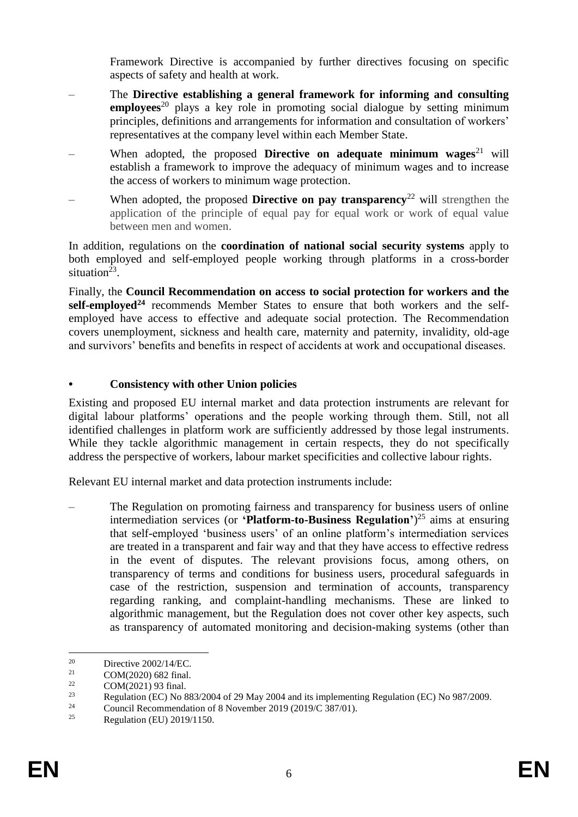Framework Directive is accompanied by further directives focusing on specific aspects of safety and health at work.

- The **Directive establishing a general framework for informing and consulting employees**<sup>20</sup> plays a key role in promoting social dialogue by setting minimum principles, definitions and arrangements for information and consultation of workers' representatives at the company level within each Member State.
- When adopted, the proposed **[Directive on adequate minimum wages](https://ec.europa.eu/social/BlobServlet?docId=23091&langId=en)**<sup>21</sup> will establish a framework to improve the adequacy of minimum wages and to increase the access of workers to minimum wage protection.
- When adopted, the proposed **Directive on pay transparency**<sup>22</sup> will strengthen the application of the principle of equal pay for equal work or work of equal value between men and women.

In addition, regulations on the **coordination of national social security systems** apply to both employed and self-employed people working through platforms in a cross-border situation<sup>23</sup>.

Finally, the **Council Recommendation on access to social protection for workers and the self-employed<sup>24</sup>** recommends Member States to ensure that both workers and the selfemployed have access to effective and adequate social protection. The Recommendation covers unemployment, sickness and health care, maternity and paternity, invalidity, old-age and survivors' benefits and benefits in respect of accidents at work and occupational diseases.

# **• Consistency with other Union policies**

Existing and proposed EU internal market and data protection instruments are relevant for digital labour platforms' operations and the people working through them. Still, not all identified challenges in platform work are sufficiently addressed by those legal instruments. While they tackle algorithmic management in certain respects, they do not specifically address the perspective of workers, labour market specificities and collective labour rights.

Relevant EU internal market and data protection instruments include:

– The Regulation on promoting fairness and transparency for business users of online intermediation services (or **'Platform-to-Business Regulation'**) <sup>25</sup> aims at ensuring that self-employed 'business users' of an online platform's intermediation services are treated in a transparent and fair way and that they have access to effective redress in the event of disputes. The relevant provisions focus, among others, on transparency of terms and conditions for business users, procedural safeguards in case of the restriction, suspension and termination of accounts, transparency regarding ranking, and complaint-handling mechanisms. These are linked to algorithmic management, but the Regulation does not cover other key aspects, such as transparency of automated monitoring and decision-making systems (other than

<sup>1</sup> <sup>20</sup> Directive 2002/14/EC.<br>
<sup>21</sup> COM(2020) 682 final

<sup>&</sup>lt;sup>21</sup> COM(2020) 682 final.<br><sup>22</sup> COM(2021) 02 final.

 $22 \text{ COM}(2021)$  93 final.

<sup>&</sup>lt;sup>23</sup><br>Regulation (EC) No 883/2004 of 29 May 2004 and its implementing Regulation (EC) No 987/2009.<br> $\frac{24}{5}$  Council Becomes dating of 8 November 2010 (2010/C 297/01).

<sup>&</sup>lt;sup>24</sup> Council Recommendation of 8 November 2019 (2019/C 387/01).<br><sup>25</sup> Pearlation (EU) 2010/1150

<sup>25</sup> Regulation (EU) 2019/1150.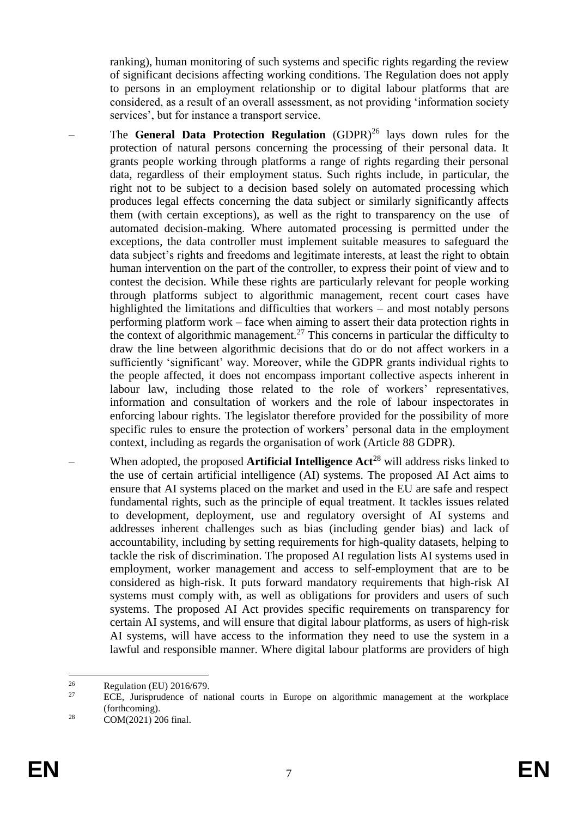ranking), human monitoring of such systems and specific rights regarding the review of significant decisions affecting working conditions. The Regulation does not apply to persons in an employment relationship or to digital labour platforms that are considered, as a result of an overall assessment, as not providing 'information society services', but for instance a transport service.

- The **General Data Protection Regulation** (GDPR)<sup>26</sup> lays down rules for the protection of natural persons concerning the processing of their personal data. It grants people working through platforms a range of rights regarding their personal data, regardless of their employment status. Such rights include, in particular, the right not to be subject to a decision based solely on automated processing which produces legal effects concerning the data subject or similarly significantly affects them (with certain exceptions), as well as the right to transparency on the use of automated decision-making. Where automated processing is permitted under the exceptions, the data controller must implement suitable measures to safeguard the data subject's rights and freedoms and legitimate interests, at least the right to obtain human intervention on the part of the controller, to express their point of view and to contest the decision. While these rights are particularly relevant for people working through platforms subject to algorithmic management, recent court cases have highlighted the limitations and difficulties that workers – and most notably persons performing platform work – face when aiming to assert their data protection rights in the context of algorithmic management.<sup>27</sup> This concerns in particular the difficulty to draw the line between algorithmic decisions that do or do not affect workers in a sufficiently 'significant' way. Moreover, while the GDPR grants individual rights to the people affected, it does not encompass important collective aspects inherent in labour law, including those related to the role of workers' representatives, information and consultation of workers and the role of labour inspectorates in enforcing labour rights. The legislator therefore provided for the possibility of more specific rules to ensure the protection of workers' personal data in the employment context, including as regards the organisation of work (Article 88 GDPR).
- When adopted, the proposed **Artificial Intelligence Act**<sup>28</sup> will address risks linked to the use of certain artificial intelligence (AI) systems. The proposed AI Act aims to ensure that AI systems placed on the market and used in the EU are safe and respect fundamental rights, such as the principle of equal treatment. It tackles issues related to development, deployment, use and regulatory oversight of AI systems and addresses inherent challenges such as bias (including gender bias) and lack of accountability, including by setting requirements for high-quality datasets, helping to tackle the risk of discrimination. The proposed AI regulation lists AI systems used in employment, worker management and access to self-employment that are to be considered as high-risk. It puts forward mandatory requirements that high-risk AI systems must comply with, as well as obligations for providers and users of such systems. The proposed AI Act provides specific requirements on transparency for certain AI systems, and will ensure that digital labour platforms, as users of high-risk AI systems, will have access to the information they need to use the system in a lawful and responsible manner. Where digital labour platforms are providers of high

 $26$  $\frac{26}{27}$  Regulation (EU) 2016/679.

<sup>27</sup> ECE, Jurisprudence of national courts in Europe on algorithmic management at the workplace (forthcoming).

<sup>28</sup> COM(2021) 206 final.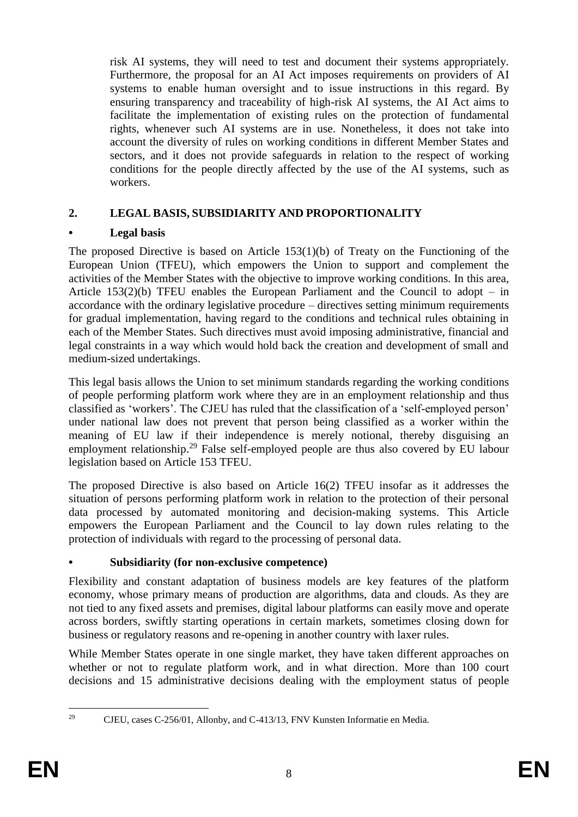risk AI systems, they will need to test and document their systems appropriately. Furthermore, the proposal for an AI Act imposes requirements on providers of AI systems to enable human oversight and to issue instructions in this regard. By ensuring transparency and traceability of high-risk AI systems, the AI Act aims to facilitate the implementation of existing rules on the protection of fundamental rights, whenever such AI systems are in use. Nonetheless, it does not take into account the diversity of rules on working conditions in different Member States and sectors, and it does not provide safeguards in relation to the respect of working conditions for the people directly affected by the use of the AI systems, such as workers.

# **2. LEGAL BASIS, SUBSIDIARITY AND PROPORTIONALITY**

# **• Legal basis**

The proposed Directive is based on Article 153(1)(b) of Treaty on the Functioning of the European Union (TFEU), which empowers the Union to support and complement the activities of the Member States with the objective to improve working conditions. In this area, Article  $153(2)(b)$  TFEU enables the European Parliament and the Council to adopt – in accordance with the ordinary legislative procedure – directives setting minimum requirements for gradual implementation, having regard to the conditions and technical rules obtaining in each of the Member States. Such directives must avoid imposing administrative, financial and legal constraints in a way which would hold back the creation and development of small and medium-sized undertakings.

This legal basis allows the Union to set minimum standards regarding the working conditions of people performing platform work where they are in an employment relationship and thus classified as 'workers'. The CJEU has ruled that the classification of a 'self-employed person' under national law does not prevent that person being classified as a worker within the meaning of EU law if their independence is merely notional, thereby disguising an employment relationship.<sup>29</sup> False self-employed people are thus also covered by EU labour legislation based on Article 153 TFEU.

The proposed Directive is also based on Article 16(2) TFEU insofar as it addresses the situation of persons performing platform work in relation to the protection of their personal data processed by automated monitoring and decision-making systems. This Article empowers the European Parliament and the Council to lay down rules relating to the protection of individuals with regard to the processing of personal data.

# **• Subsidiarity (for non-exclusive competence)**

Flexibility and constant adaptation of business models are key features of the platform economy, whose primary means of production are algorithms, data and clouds. As they are not tied to any fixed assets and premises, digital labour platforms can easily move and operate across borders, swiftly starting operations in certain markets, sometimes closing down for business or regulatory reasons and re-opening in another country with laxer rules.

While Member States operate in one single market, they have taken different approaches on whether or not to regulate platform work, and in what direction. More than 100 court decisions and 15 administrative decisions dealing with the employment status of people

<sup>29</sup> 

<sup>29</sup> CJEU, cases C-256/01, Allonby, and C-413/13, FNV Kunsten Informatie en Media.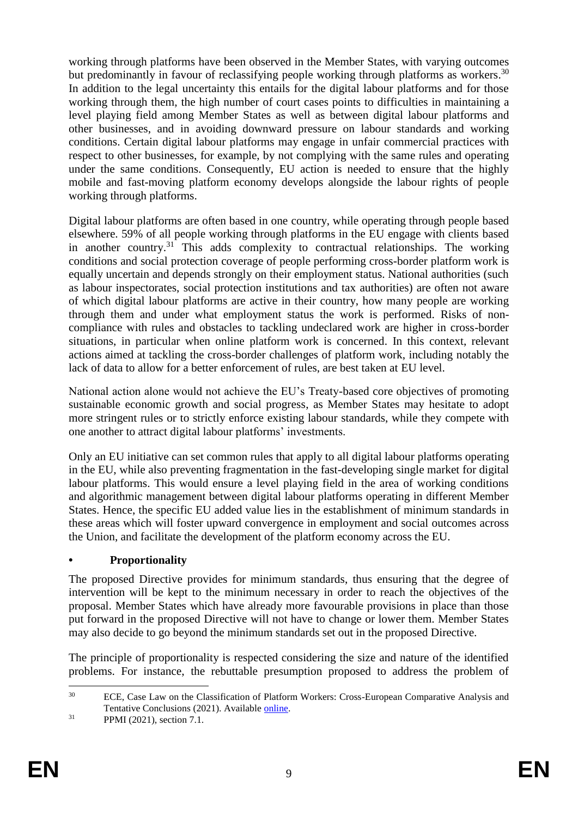working through platforms have been observed in the Member States, with varying outcomes but predominantly in favour of reclassifying people working through platforms as workers.<sup>30</sup> In addition to the legal uncertainty this entails for the digital labour platforms and for those working through them, the high number of court cases points to difficulties in maintaining a level playing field among Member States as well as between digital labour platforms and other businesses, and in avoiding downward pressure on labour standards and working conditions. Certain digital labour platforms may engage in unfair commercial practices with respect to other businesses, for example, by not complying with the same rules and operating under the same conditions. Consequently, EU action is needed to ensure that the highly mobile and fast-moving platform economy develops alongside the labour rights of people working through platforms.

Digital labour platforms are often based in one country, while operating through people based elsewhere. 59% of all people working through platforms in the EU engage with clients based in another country.<sup>31</sup> This adds complexity to contractual relationships. The working conditions and social protection coverage of people performing cross-border platform work is equally uncertain and depends strongly on their employment status. National authorities (such as labour inspectorates, social protection institutions and tax authorities) are often not aware of which digital labour platforms are active in their country, how many people are working through them and under what employment status the work is performed. Risks of noncompliance with rules and obstacles to tackling undeclared work are higher in cross-border situations, in particular when online platform work is concerned. In this context, relevant actions aimed at tackling the cross-border challenges of platform work, including notably the lack of data to allow for a better enforcement of rules, are best taken at EU level.

National action alone would not achieve the EU's Treaty-based core objectives of promoting sustainable economic growth and social progress, as Member States may hesitate to adopt more stringent rules or to strictly enforce existing labour standards, while they compete with one another to attract digital labour platforms' investments.

Only an EU initiative can set common rules that apply to all digital labour platforms operating in the EU, while also preventing fragmentation in the fast-developing single market for digital labour platforms. This would ensure a level playing field in the area of working conditions and algorithmic management between digital labour platforms operating in different Member States. Hence, the specific EU added value lies in the establishment of minimum standards in these areas which will foster upward convergence in employment and social outcomes across the Union, and facilitate the development of the platform economy across the EU.

# **• Proportionality**

The proposed Directive provides for minimum standards, thus ensuring that the degree of intervention will be kept to the minimum necessary in order to reach the objectives of the proposal. Member States which have already more favourable provisions in place than those put forward in the proposed Directive will not have to change or lower them. Member States may also decide to go beyond the minimum standards set out in the proposed Directive.

The principle of proportionality is respected considering the size and nature of the identified problems. For instance, the rebuttable presumption proposed to address the problem of

 $30^{\circ}$ ECE. Case Law on the Classification of Platform Workers: Cross-European Comparative Analysis and Tentative Conclusions (2021). Available [online.](https://papers.ssrn.com/sol3/papers.cfm?abstract_id=3839603)

<sup>31</sup> PPMI (2021), section 7.1.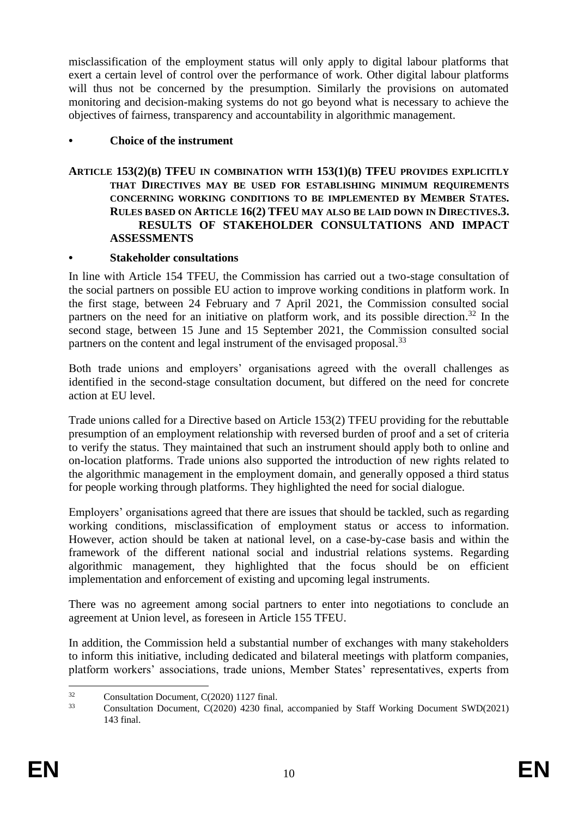misclassification of the employment status will only apply to digital labour platforms that exert a certain level of control over the performance of work. Other digital labour platforms will thus not be concerned by the presumption. Similarly the provisions on automated monitoring and decision-making systems do not go beyond what is necessary to achieve the objectives of fairness, transparency and accountability in algorithmic management.

## **• Choice of the instrument**

### **ARTICLE 153(2)(B) TFEU IN COMBINATION WITH 153(1)(B) TFEU PROVIDES EXPLICITLY THAT DIRECTIVES MAY BE USED FOR ESTABLISHING MINIMUM REQUIREMENTS CONCERNING WORKING CONDITIONS TO BE IMPLEMENTED BY MEMBER STATES. RULES BASED ON ARTICLE 16(2) TFEU MAY ALSO BE LAID DOWN IN DIRECTIVES.3. RESULTS OF STAKEHOLDER CONSULTATIONS AND IMPACT ASSESSMENTS**

### **• Stakeholder consultations**

In line with Article 154 TFEU, the Commission has carried out a two-stage consultation of the social partners on possible EU action to improve working conditions in platform work. In the first stage, between 24 February and 7 April 2021, the Commission consulted social partners on the need for an initiative on platform work, and its possible direction.<sup>32</sup> In the second stage, between 15 June and 15 September 2021, the Commission consulted social partners on the content and legal instrument of the envisaged proposal.<sup>33</sup>

Both trade unions and employers' organisations agreed with the overall challenges as identified in the second-stage consultation document, but differed on the need for concrete action at EU level.

Trade unions called for a Directive based on Article 153(2) TFEU providing for the rebuttable presumption of an employment relationship with reversed burden of proof and a set of criteria to verify the status. They maintained that such an instrument should apply both to online and on-location platforms. Trade unions also supported the introduction of new rights related to the algorithmic management in the employment domain, and generally opposed a third status for people working through platforms. They highlighted the need for social dialogue.

Employers' organisations agreed that there are issues that should be tackled, such as regarding working conditions, misclassification of employment status or access to information. However, action should be taken at national level, on a case-by-case basis and within the framework of the different national social and industrial relations systems. Regarding algorithmic management, they highlighted that the focus should be on efficient implementation and enforcement of existing and upcoming legal instruments.

There was no agreement among social partners to enter into negotiations to conclude an agreement at Union level, as foreseen in Article 155 TFEU.

In addition, the Commission held a substantial number of exchanges with many stakeholders to inform this initiative, including dedicated and bilateral meetings with platform companies, platform workers' associations, trade unions, Member States' representatives, experts from

 $32$ <sup>32</sup> Consultation Document*,* C(2020) 1127 final.

<sup>33</sup> Consultation Document, C(2020) 4230 final, accompanied by Staff Working Document SWD(2021) 143 final.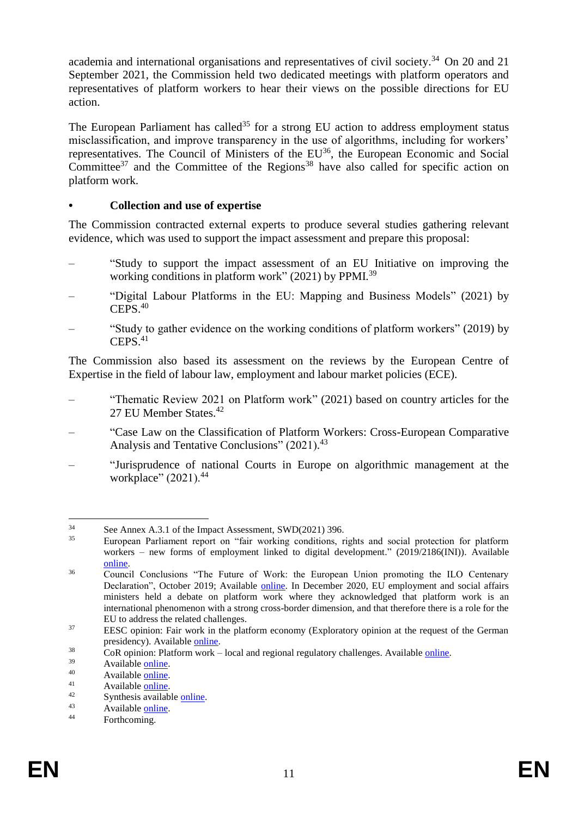academia and international organisations and representatives of civil society.<sup>34</sup> On 20 and 21 September 2021, the Commission held two dedicated meetings with platform operators and representatives of platform workers to hear their views on the possible directions for EU action.

The European Parliament has called<sup>35</sup> for a strong EU action to address employment status misclassification, and improve transparency in the use of algorithms, including for workers' representatives. The Council of Ministers of the EU<sup>36</sup>, the European Economic and Social Committee<sup>37</sup> and the Committee of the Regions<sup>38</sup> have also called for specific action on platform work.

## **• Collection and use of expertise**

The Commission contracted external experts to produce several studies gathering relevant evidence, which was used to support the impact assessment and prepare this proposal:

- "Study to support the impact assessment of an EU Initiative on improving the working conditions in platform work" (2021) by PPMI.<sup>39</sup>
- "Digital Labour Platforms in the EU: Mapping and Business Models" (2021) by  $CEPS<sup>40</sup>$
- "Study to gather evidence on the working conditions of platform workers" (2019) by  $C$ EPS<sup>41</sup>

The Commission also based its assessment on the reviews by the European Centre of Expertise in the field of labour law, employment and labour market policies (ECE).

- "Thematic Review 2021 on Platform work" (2021) based on country articles for the 27 EU Member States.<sup>42</sup>
- "Case Law on the Classification of Platform Workers: Cross-European Comparative Analysis and Tentative Conclusions" (2021).<sup>43</sup>
- "Jurisprudence of national Courts in Europe on algorithmic management at the workplace" (2021).<sup>44</sup>

 $34$  $34$  See Annex A.3.1 of the Impact Assessment, SWD(2021) 396.

European Parliament report on "fair working conditions, rights and social protection for platform workers – new forms of employment linked to digital development." (2019/2186(INI)). Available [online.](https://www.europarl.europa.eu/doceo/document/TA-9-2021-0385_EN.html)

<sup>&</sup>lt;sup>36</sup> Council Conclusions "The Future of Work: the European Union promoting the ILO Centenary Declaration", October 2019; Available [online.](https://data.consilium.europa.eu/doc/document/ST-12765-2019-INIT/en/pdf) In December 2020, EU employment and social affairs ministers held a debate on platform work where they acknowledged that platform work is an international phenomenon with a strong cross-border dimension, and that therefore there is a role for the EU to address the related challenges.

<sup>&</sup>lt;sup>37</sup> EESC opinion: Fair work in the platform economy (Exploratory opinion at the request of the German presidency). Available [online.](https://www.eesc.europa.eu/en/our-work/opinions-information-reports/opinions/fair-work-platform-economy-exploratory-opinion-request-german-presidency)

 $\frac{38}{2}$  CoR opinion: Platform work – local and regional regulatory challenges. Available <u>online</u>.

 $39$  Available [online.](https://ec.europa.eu/social/main.jsp?catId=738&langId=en&pubId=8428&furtherPubs=yes)

 $40$  Available [online.](file:///C:/Users/pirklpe/Downloads/KE-02-21-572-EN-N%20(1).pdf)

 $41$  Available <u>online</u>.

 $^{42}$  Synthesis available [online.](file:///C:/Users/pirklpe/Downloads/KE-02-21-914-EN-N%20(4).pdf)

 $43$  Available [online.](https://papers.ssrn.com/sol3/papers.cfm?abstract_id=3839603)

Forthcoming.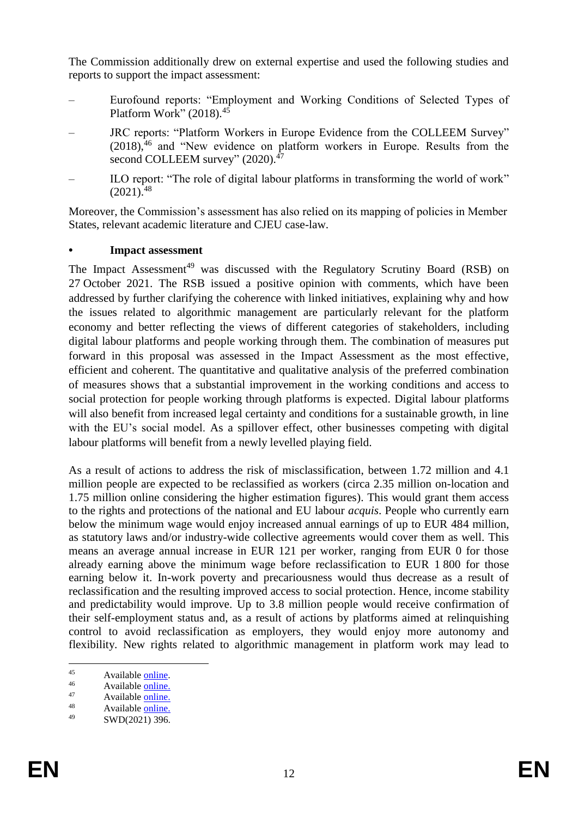The Commission additionally drew on external expertise and used the following studies and reports to support the impact assessment:

- Eurofound reports: "Employment and Working Conditions of Selected Types of Platform Work" (2018).<sup>45</sup>
- JRC reports: "Platform Workers in Europe Evidence from the COLLEEM Survey"  $(2018)$ ,<sup>46</sup> and "New evidence on platform workers in Europe. Results from the second COLLEEM survey" (2020).<sup>47</sup>
- ILO report: "The role of digital labour platforms in transforming the world of work"  $(2021)^{48}$

Moreover, the Commission's assessment has also relied on its mapping of policies in Member States, relevant academic literature and CJEU case-law.

## **• Impact assessment**

The Impact Assessment<sup>49</sup> was discussed with the Regulatory Scrutiny Board (RSB) on 27 October 2021. The RSB issued a positive opinion with comments, which have been addressed by further clarifying the coherence with linked initiatives, explaining why and how the issues related to algorithmic management are particularly relevant for the platform economy and better reflecting the views of different categories of stakeholders, including digital labour platforms and people working through them. The combination of measures put forward in this proposal was assessed in the Impact Assessment as the most effective, efficient and coherent. The quantitative and qualitative analysis of the preferred combination of measures shows that a substantial improvement in the working conditions and access to social protection for people working through platforms is expected. Digital labour platforms will also benefit from increased legal certainty and conditions for a sustainable growth, in line with the EU's social model. As a spillover effect, other businesses competing with digital labour platforms will benefit from a newly levelled playing field.

As a result of actions to address the risk of misclassification, between 1.72 million and 4.1 million people are expected to be reclassified as workers (circa 2.35 million on-location and 1.75 million online considering the higher estimation figures). This would grant them access to the rights and protections of the national and EU labour *acquis*. People who currently earn below the minimum wage would enjoy increased annual earnings of up to EUR 484 million, as statutory laws and/or industry-wide collective agreements would cover them as well. This means an average annual increase in EUR 121 per worker, ranging from EUR 0 for those already earning above the minimum wage before reclassification to EUR 1 800 for those earning below it. In-work poverty and precariousness would thus decrease as a result of reclassification and the resulting improved access to social protection. Hence, income stability and predictability would improve. Up to 3.8 million people would receive confirmation of their self-employment status and, as a result of actions by platforms aimed at relinquishing control to avoid reclassification as employers, they would enjoy more autonomy and flexibility. New rights related to algorithmic management in platform work may lead to

 $45$  $45$  Available [online.](https://www.eurofound.europa.eu/publications/report/2018/employment-and-working-conditions-of-selected-types-of-platform-work)

 $46$  Available <u>online.</u>

 $47$  Available [online.](https://publications.jrc.ec.europa.eu/repository/handle/JRC118570)

<sup>&</sup>lt;sup>48</sup> Available <u>online.</u><br><sup>49</sup> SWD(2021) 206

SWD(2021) 396.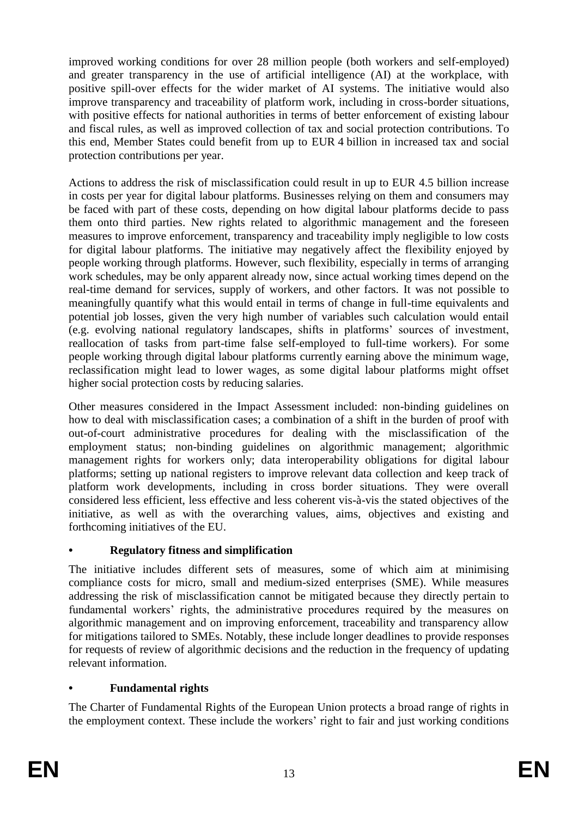improved working conditions for over 28 million people (both workers and self-employed) and greater transparency in the use of artificial intelligence (AI) at the workplace, with positive spill-over effects for the wider market of AI systems. The initiative would also improve transparency and traceability of platform work, including in cross-border situations, with positive effects for national authorities in terms of better enforcement of existing labour and fiscal rules, as well as improved collection of tax and social protection contributions. To this end, Member States could benefit from up to EUR 4 billion in increased tax and social protection contributions per year.

Actions to address the risk of misclassification could result in up to EUR 4.5 billion increase in costs per year for digital labour platforms. Businesses relying on them and consumers may be faced with part of these costs, depending on how digital labour platforms decide to pass them onto third parties. New rights related to algorithmic management and the foreseen measures to improve enforcement, transparency and traceability imply negligible to low costs for digital labour platforms. The initiative may negatively affect the flexibility enjoyed by people working through platforms. However, such flexibility, especially in terms of arranging work schedules, may be only apparent already now, since actual working times depend on the real-time demand for services, supply of workers, and other factors. It was not possible to meaningfully quantify what this would entail in terms of change in full-time equivalents and potential job losses, given the very high number of variables such calculation would entail (e.g. evolving national regulatory landscapes, shifts in platforms' sources of investment, reallocation of tasks from part-time false self-employed to full-time workers). For some people working through digital labour platforms currently earning above the minimum wage, reclassification might lead to lower wages, as some digital labour platforms might offset higher social protection costs by reducing salaries.

Other measures considered in the Impact Assessment included: non-binding guidelines on how to deal with misclassification cases; a combination of a shift in the burden of proof with out-of-court administrative procedures for dealing with the misclassification of the employment status; non-binding guidelines on algorithmic management; algorithmic management rights for workers only; data interoperability obligations for digital labour platforms; setting up national registers to improve relevant data collection and keep track of platform work developments, including in cross border situations. They were overall considered less efficient, less effective and less coherent vis-à-vis the stated objectives of the initiative, as well as with the overarching values, aims, objectives and existing and forthcoming initiatives of the EU.

# **• Regulatory fitness and simplification**

The initiative includes different sets of measures, some of which aim at minimising compliance costs for micro, small and medium-sized enterprises (SME). While measures addressing the risk of misclassification cannot be mitigated because they directly pertain to fundamental workers' rights, the administrative procedures required by the measures on algorithmic management and on improving enforcement, traceability and transparency allow for mitigations tailored to SMEs. Notably, these include longer deadlines to provide responses for requests of review of algorithmic decisions and the reduction in the frequency of updating relevant information.

# **• Fundamental rights**

The Charter of Fundamental Rights of the European Union protects a broad range of rights in the employment context. These include the workers' right to fair and just working conditions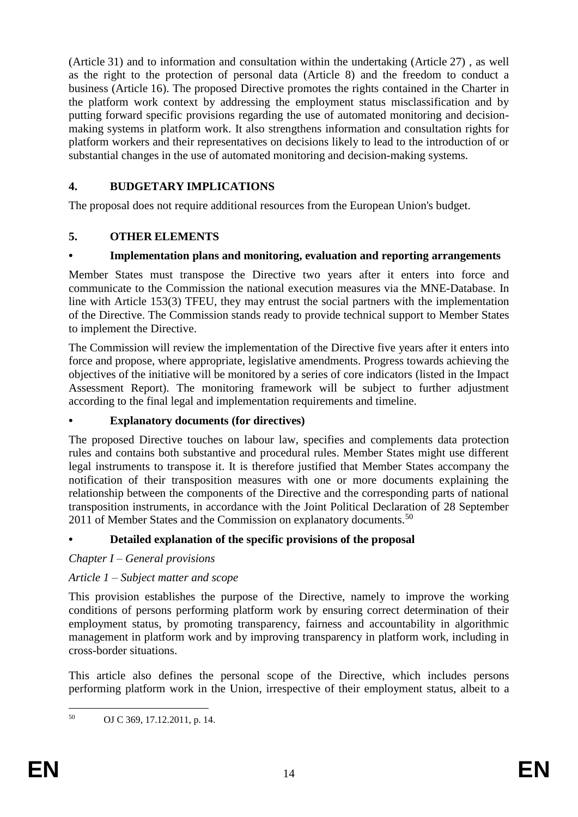(Article 31) and to information and consultation within the undertaking (Article 27) , as well as the right to the protection of personal data (Article 8) and the freedom to conduct a business (Article 16). The proposed Directive promotes the rights contained in the Charter in the platform work context by addressing the employment status misclassification and by putting forward specific provisions regarding the use of automated monitoring and decisionmaking systems in platform work. It also strengthens information and consultation rights for platform workers and their representatives on decisions likely to lead to the introduction of or substantial changes in the use of automated monitoring and decision-making systems.

# **4. BUDGETARY IMPLICATIONS**

The proposal does not require additional resources from the European Union's budget.

# **5. OTHER ELEMENTS**

# **• Implementation plans and monitoring, evaluation and reporting arrangements**

Member States must transpose the Directive two years after it enters into force and communicate to the Commission the national execution measures via the MNE-Database. In line with Article 153(3) TFEU, they may entrust the social partners with the implementation of the Directive. The Commission stands ready to provide technical support to Member States to implement the Directive.

The Commission will review the implementation of the Directive five years after it enters into force and propose, where appropriate, legislative amendments. Progress towards achieving the objectives of the initiative will be monitored by a series of core indicators (listed in the Impact Assessment Report). The monitoring framework will be subject to further adjustment according to the final legal and implementation requirements and timeline.

# **• Explanatory documents (for directives)**

The proposed Directive touches on labour law, specifies and complements data protection rules and contains both substantive and procedural rules. Member States might use different legal instruments to transpose it. It is therefore justified that Member States accompany the notification of their transposition measures with one or more documents explaining the relationship between the components of the Directive and the corresponding parts of national transposition instruments, in accordance with the Joint Political Declaration of 28 September 2011 of Member States and the Commission on explanatory documents.<sup>50</sup>

# **• Detailed explanation of the specific provisions of the proposal**

# *Chapter I – General provisions*

# *Article 1 – Subject matter and scope*

This provision establishes the purpose of the Directive, namely to improve the working conditions of persons performing platform work by ensuring correct determination of their employment status, by promoting transparency, fairness and accountability in algorithmic management in platform work and by improving transparency in platform work, including in cross-border situations.

This article also defines the personal scope of the Directive, which includes persons performing platform work in the Union, irrespective of their employment status, albeit to a

<sup>50</sup> <sup>50</sup> OJ C 369, 17.12.2011, p. 14.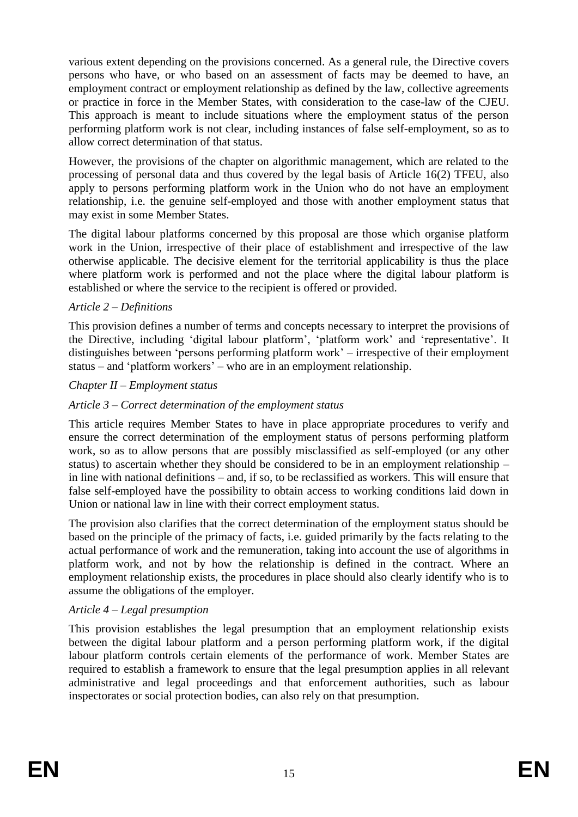various extent depending on the provisions concerned. As a general rule, the Directive covers persons who have, or who based on an assessment of facts may be deemed to have, an employment contract or employment relationship as defined by the law, collective agreements or practice in force in the Member States, with consideration to the case-law of the CJEU. This approach is meant to include situations where the employment status of the person performing platform work is not clear, including instances of false self-employment, so as to allow correct determination of that status.

However, the provisions of the chapter on algorithmic management, which are related to the processing of personal data and thus covered by the legal basis of Article 16(2) TFEU, also apply to persons performing platform work in the Union who do not have an employment relationship, i.e. the genuine self-employed and those with another employment status that may exist in some Member States.

The digital labour platforms concerned by this proposal are those which organise platform work in the Union, irrespective of their place of establishment and irrespective of the law otherwise applicable. The decisive element for the territorial applicability is thus the place where platform work is performed and not the place where the digital labour platform is established or where the service to the recipient is offered or provided.

# *Article 2 – Definitions*

This provision defines a number of terms and concepts necessary to interpret the provisions of the Directive, including 'digital labour platform', 'platform work' and 'representative'. It distinguishes between 'persons performing platform work' – irrespective of their employment status – and 'platform workers' – who are in an employment relationship.

### *Chapter II – Employment status*

## *Article 3 – Correct determination of the employment status*

This article requires Member States to have in place appropriate procedures to verify and ensure the correct determination of the employment status of persons performing platform work, so as to allow persons that are possibly misclassified as self-employed (or any other status) to ascertain whether they should be considered to be in an employment relationship – in line with national definitions – and, if so, to be reclassified as workers. This will ensure that false self-employed have the possibility to obtain access to working conditions laid down in Union or national law in line with their correct employment status.

The provision also clarifies that the correct determination of the employment status should be based on the principle of the primacy of facts, i.e. guided primarily by the facts relating to the actual performance of work and the remuneration, taking into account the use of algorithms in platform work, and not by how the relationship is defined in the contract. Where an employment relationship exists, the procedures in place should also clearly identify who is to assume the obligations of the employer.

### *Article 4 – Legal presumption*

This provision establishes the legal presumption that an employment relationship exists between the digital labour platform and a person performing platform work, if the digital labour platform controls certain elements of the performance of work. Member States are required to establish a framework to ensure that the legal presumption applies in all relevant administrative and legal proceedings and that enforcement authorities, such as labour inspectorates or social protection bodies, can also rely on that presumption.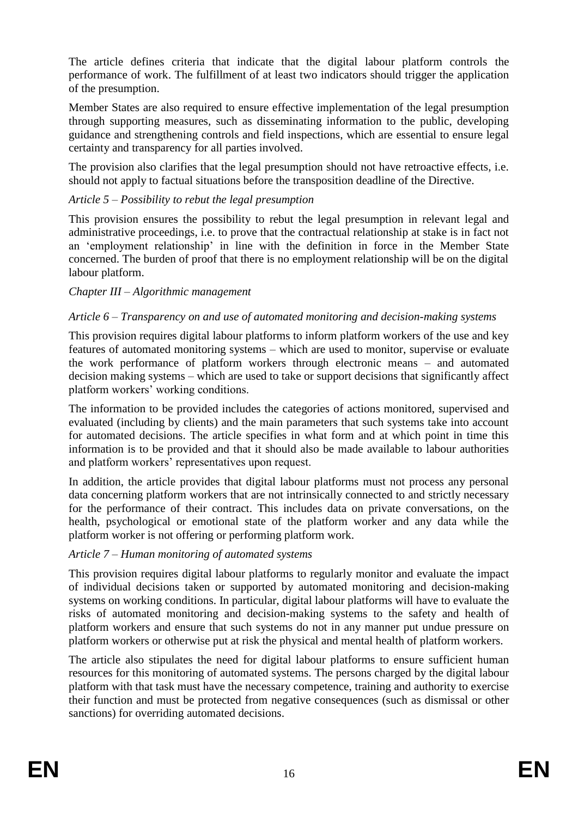The article defines criteria that indicate that the digital labour platform controls the performance of work. The fulfillment of at least two indicators should trigger the application of the presumption.

Member States are also required to ensure effective implementation of the legal presumption through supporting measures, such as disseminating information to the public, developing guidance and strengthening controls and field inspections, which are essential to ensure legal certainty and transparency for all parties involved.

The provision also clarifies that the legal presumption should not have retroactive effects, i.e. should not apply to factual situations before the transposition deadline of the Directive.

# *Article 5 – Possibility to rebut the legal presumption*

This provision ensures the possibility to rebut the legal presumption in relevant legal and administrative proceedings, i.e. to prove that the contractual relationship at stake is in fact not an 'employment relationship' in line with the definition in force in the Member State concerned. The burden of proof that there is no employment relationship will be on the digital labour platform.

## *Chapter III – Algorithmic management*

# *Article 6 – Transparency on and use of automated monitoring and decision-making systems*

This provision requires digital labour platforms to inform platform workers of the use and key features of automated monitoring systems – which are used to monitor, supervise or evaluate the work performance of platform workers through electronic means – and automated decision making systems – which are used to take or support decisions that significantly affect platform workers' working conditions.

The information to be provided includes the categories of actions monitored, supervised and evaluated (including by clients) and the main parameters that such systems take into account for automated decisions. The article specifies in what form and at which point in time this information is to be provided and that it should also be made available to labour authorities and platform workers' representatives upon request.

In addition, the article provides that digital labour platforms must not process any personal data concerning platform workers that are not intrinsically connected to and strictly necessary for the performance of their contract. This includes data on private conversations, on the health, psychological or emotional state of the platform worker and any data while the platform worker is not offering or performing platform work.

### *Article 7 – Human monitoring of automated systems*

This provision requires digital labour platforms to regularly monitor and evaluate the impact of individual decisions taken or supported by automated monitoring and decision-making systems on working conditions. In particular, digital labour platforms will have to evaluate the risks of automated monitoring and decision-making systems to the safety and health of platform workers and ensure that such systems do not in any manner put undue pressure on platform workers or otherwise put at risk the physical and mental health of platform workers.

The article also stipulates the need for digital labour platforms to ensure sufficient human resources for this monitoring of automated systems. The persons charged by the digital labour platform with that task must have the necessary competence, training and authority to exercise their function and must be protected from negative consequences (such as dismissal or other sanctions) for overriding automated decisions.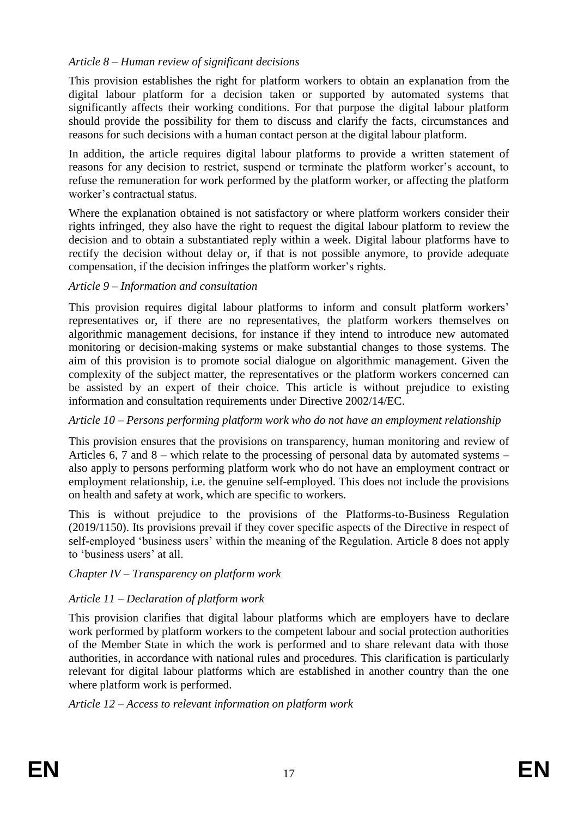# *Article 8 – Human review of significant decisions*

This provision establishes the right for platform workers to obtain an explanation from the digital labour platform for a decision taken or supported by automated systems that significantly affects their working conditions. For that purpose the digital labour platform should provide the possibility for them to discuss and clarify the facts, circumstances and reasons for such decisions with a human contact person at the digital labour platform.

In addition, the article requires digital labour platforms to provide a written statement of reasons for any decision to restrict, suspend or terminate the platform worker's account, to refuse the remuneration for work performed by the platform worker, or affecting the platform worker's contractual status.

Where the explanation obtained is not satisfactory or where platform workers consider their rights infringed, they also have the right to request the digital labour platform to review the decision and to obtain a substantiated reply within a week. Digital labour platforms have to rectify the decision without delay or, if that is not possible anymore, to provide adequate compensation, if the decision infringes the platform worker's rights.

## *Article 9 – Information and consultation*

This provision requires digital labour platforms to inform and consult platform workers' representatives or, if there are no representatives, the platform workers themselves on algorithmic management decisions, for instance if they intend to introduce new automated monitoring or decision-making systems or make substantial changes to those systems. The aim of this provision is to promote social dialogue on algorithmic management. Given the complexity of the subject matter, the representatives or the platform workers concerned can be assisted by an expert of their choice. This article is without prejudice to existing information and consultation requirements under Directive 2002/14/EC.

# *Article 10 – Persons performing platform work who do not have an employment relationship*

This provision ensures that the provisions on transparency, human monitoring and review of Articles 6, 7 and  $8$  – which relate to the processing of personal data by automated systems – also apply to persons performing platform work who do not have an employment contract or employment relationship, i.e. the genuine self-employed. This does not include the provisions on health and safety at work, which are specific to workers.

This is without prejudice to the provisions of the Platforms-to-Business Regulation (2019/1150). Its provisions prevail if they cover specific aspects of the Directive in respect of self-employed 'business users' within the meaning of the Regulation. Article 8 does not apply to 'business users' at all.

# *Chapter IV – Transparency on platform work*

# *Article 11 – Declaration of platform work*

This provision clarifies that digital labour platforms which are employers have to declare work performed by platform workers to the competent labour and social protection authorities of the Member State in which the work is performed and to share relevant data with those authorities, in accordance with national rules and procedures. This clarification is particularly relevant for digital labour platforms which are established in another country than the one where platform work is performed.

*Article 12 – Access to relevant information on platform work*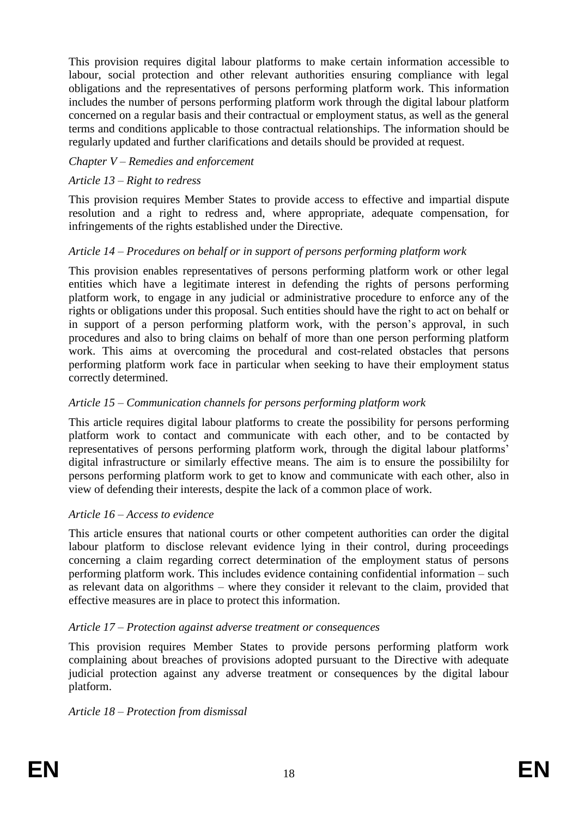This provision requires digital labour platforms to make certain information accessible to labour, social protection and other relevant authorities ensuring compliance with legal obligations and the representatives of persons performing platform work. This information includes the number of persons performing platform work through the digital labour platform concerned on a regular basis and their contractual or employment status, as well as the general terms and conditions applicable to those contractual relationships. The information should be regularly updated and further clarifications and details should be provided at request.

## *Chapter V – Remedies and enforcement*

## *Article 13 – Right to redress*

This provision requires Member States to provide access to effective and impartial dispute resolution and a right to redress and, where appropriate, adequate compensation, for infringements of the rights established under the Directive.

## *Article 14 – Procedures on behalf or in support of persons performing platform work*

This provision enables representatives of persons performing platform work or other legal entities which have a legitimate interest in defending the rights of persons performing platform work, to engage in any judicial or administrative procedure to enforce any of the rights or obligations under this proposal. Such entities should have the right to act on behalf or in support of a person performing platform work, with the person's approval, in such procedures and also to bring claims on behalf of more than one person performing platform work. This aims at overcoming the procedural and cost-related obstacles that persons performing platform work face in particular when seeking to have their employment status correctly determined.

## *Article 15 – Communication channels for persons performing platform work*

This article requires digital labour platforms to create the possibility for persons performing platform work to contact and communicate with each other, and to be contacted by representatives of persons performing platform work, through the digital labour platforms' digital infrastructure or similarly effective means. The aim is to ensure the possibililty for persons performing platform work to get to know and communicate with each other, also in view of defending their interests, despite the lack of a common place of work.

### *Article 16 – Access to evidence*

This article ensures that national courts or other competent authorities can order the digital labour platform to disclose relevant evidence lying in their control, during proceedings concerning a claim regarding correct determination of the employment status of persons performing platform work. This includes evidence containing confidential information – such as relevant data on algorithms – where they consider it relevant to the claim, provided that effective measures are in place to protect this information.

### *Article 17 – Protection against adverse treatment or consequences*

This provision requires Member States to provide persons performing platform work complaining about breaches of provisions adopted pursuant to the Directive with adequate judicial protection against any adverse treatment or consequences by the digital labour platform.

### *Article 18 – Protection from dismissal*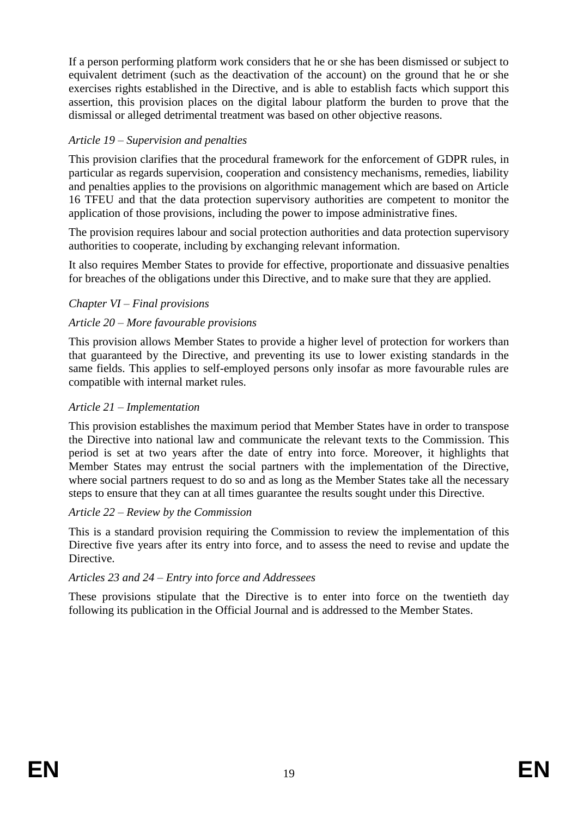If a person performing platform work considers that he or she has been dismissed or subject to equivalent detriment (such as the deactivation of the account) on the ground that he or she exercises rights established in the Directive, and is able to establish facts which support this assertion, this provision places on the digital labour platform the burden to prove that the dismissal or alleged detrimental treatment was based on other objective reasons.

# *Article 19 – Supervision and penalties*

This provision clarifies that the procedural framework for the enforcement of GDPR rules, in particular as regards supervision, cooperation and consistency mechanisms, remedies, liability and penalties applies to the provisions on algorithmic management which are based on Article 16 TFEU and that the data protection supervisory authorities are competent to monitor the application of those provisions, including the power to impose administrative fines.

The provision requires labour and social protection authorities and data protection supervisory authorities to cooperate, including by exchanging relevant information.

It also requires Member States to provide for effective, proportionate and dissuasive penalties for breaches of the obligations under this Directive, and to make sure that they are applied.

# *Chapter VI – Final provisions*

# *Article 20 – More favourable provisions*

This provision allows Member States to provide a higher level of protection for workers than that guaranteed by the Directive, and preventing its use to lower existing standards in the same fields. This applies to self-employed persons only insofar as more favourable rules are compatible with internal market rules.

## *Article 21 – Implementation*

This provision establishes the maximum period that Member States have in order to transpose the Directive into national law and communicate the relevant texts to the Commission. This period is set at two years after the date of entry into force. Moreover, it highlights that Member States may entrust the social partners with the implementation of the Directive, where social partners request to do so and as long as the Member States take all the necessary steps to ensure that they can at all times guarantee the results sought under this Directive.

### *Article 22 – Review by the Commission*

This is a standard provision requiring the Commission to review the implementation of this Directive five years after its entry into force, and to assess the need to revise and update the Directive.

# *Articles 23 and 24 – Entry into force and Addressees*

These provisions stipulate that the Directive is to enter into force on the twentieth day following its publication in the Official Journal and is addressed to the Member States.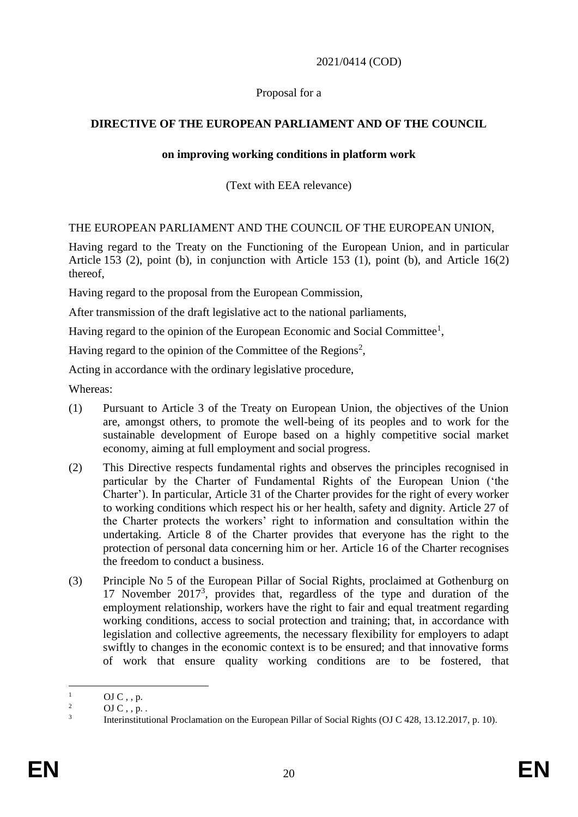## 2021/0414 (COD)

### Proposal for a

# **DIRECTIVE OF THE EUROPEAN PARLIAMENT AND OF THE COUNCIL**

### **on improving working conditions in platform work**

# (Text with EEA relevance)

## THE EUROPEAN PARLIAMENT AND THE COUNCIL OF THE EUROPEAN UNION,

Having regard to the Treaty on the Functioning of the European Union, and in particular Article 153 (2), point (b), in conjunction with Article 153 (1), point (b), and Article 16(2) thereof,

Having regard to the proposal from the European Commission,

After transmission of the draft legislative act to the national parliaments,

Having regard to the opinion of the European Economic and Social Committee<sup>1</sup>,

Having regard to the opinion of the Committee of the Regions<sup>2</sup>,

Acting in accordance with the ordinary legislative procedure,

Whereas:

- (1) Pursuant to Article 3 of the Treaty on European Union, the objectives of the Union are, amongst others, to promote the well-being of its peoples and to work for the sustainable development of Europe based on a highly competitive social market economy, aiming at full employment and social progress.
- (2) This Directive respects fundamental rights and observes the principles recognised in particular by the Charter of Fundamental Rights of the European Union ('the Charter'). In particular, Article 31 of the Charter provides for the right of every worker to working conditions which respect his or her health, safety and dignity. Article 27 of the Charter protects the workers' right to information and consultation within the undertaking. Article 8 of the Charter provides that everyone has the right to the protection of personal data concerning him or her. Article 16 of the Charter recognises the freedom to conduct a business.
- (3) Principle No 5 of the European Pillar of Social Rights, proclaimed at Gothenburg on 17 November 2017<sup>3</sup> , provides that, regardless of the type and duration of the employment relationship, workers have the right to fair and equal treatment regarding working conditions, access to social protection and training; that, in accordance with legislation and collective agreements, the necessary flexibility for employers to adapt swiftly to changes in the economic context is to be ensured; and that innovative forms of work that ensure quality working conditions are to be fostered, that

 $\mathbf{1}$  $\frac{1}{2}$  OJ C, , p.

OJ  $C$  , ,  $p$ .

<sup>3</sup> Interinstitutional Proclamation on the European Pillar of Social Rights (OJ C 428, 13.12.2017, p. 10).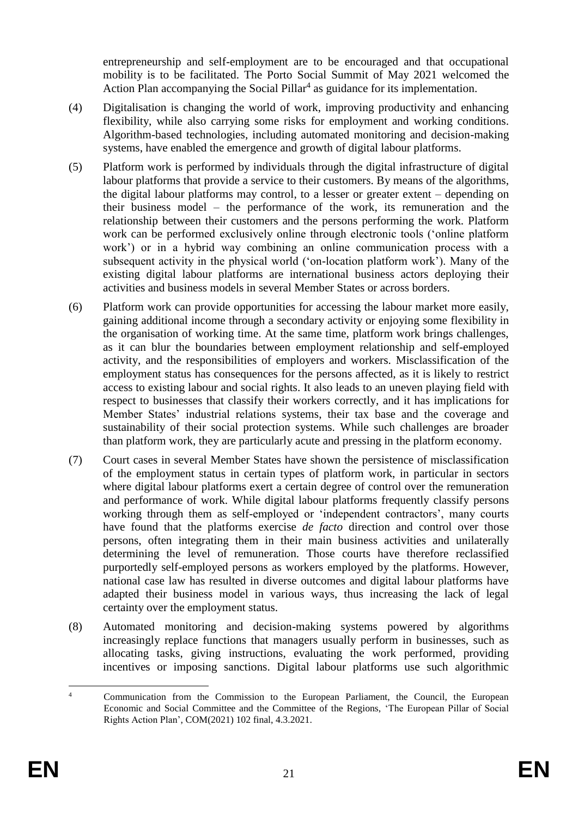entrepreneurship and self-employment are to be encouraged and that occupational mobility is to be facilitated. The Porto Social Summit of May 2021 welcomed the Action Plan accompanying the Social Pillar<sup>4</sup> as guidance for its implementation.

- (4) Digitalisation is changing the world of work, improving productivity and enhancing flexibility, while also carrying some risks for employment and working conditions. Algorithm-based technologies, including automated monitoring and decision-making systems, have enabled the emergence and growth of digital labour platforms.
- (5) Platform work is performed by individuals through the digital infrastructure of digital labour platforms that provide a service to their customers. By means of the algorithms, the digital labour platforms may control, to a lesser or greater extent – depending on their business model – the performance of the work, its remuneration and the relationship between their customers and the persons performing the work. Platform work can be performed exclusively online through electronic tools ('online platform work') or in a hybrid way combining an online communication process with a subsequent activity in the physical world ('on-location platform work'). Many of the existing digital labour platforms are international business actors deploying their activities and business models in several Member States or across borders.
- (6) Platform work can provide opportunities for accessing the labour market more easily, gaining additional income through a secondary activity or enjoying some flexibility in the organisation of working time. At the same time, platform work brings challenges, as it can blur the boundaries between employment relationship and self-employed activity, and the responsibilities of employers and workers. Misclassification of the employment status has consequences for the persons affected, as it is likely to restrict access to existing labour and social rights. It also leads to an uneven playing field with respect to businesses that classify their workers correctly, and it has implications for Member States' industrial relations systems, their tax base and the coverage and sustainability of their social protection systems. While such challenges are broader than platform work, they are particularly acute and pressing in the platform economy.
- (7) Court cases in several Member States have shown the persistence of misclassification of the employment status in certain types of platform work, in particular in sectors where digital labour platforms exert a certain degree of control over the remuneration and performance of work. While digital labour platforms frequently classify persons working through them as self-employed or 'independent contractors', many courts have found that the platforms exercise *de facto* direction and control over those persons, often integrating them in their main business activities and unilaterally determining the level of remuneration. Those courts have therefore reclassified purportedly self-employed persons as workers employed by the platforms. However, national case law has resulted in diverse outcomes and digital labour platforms have adapted their business model in various ways, thus increasing the lack of legal certainty over the employment status.
- (8) Automated monitoring and decision-making systems powered by algorithms increasingly replace functions that managers usually perform in businesses, such as allocating tasks, giving instructions, evaluating the work performed, providing incentives or imposing sanctions. Digital labour platforms use such algorithmic

 $\overline{A}$ <sup>4</sup> Communication from the Commission to the European Parliament, the Council, the European Economic and Social Committee and the Committee of the Regions, 'The European Pillar of Social Rights Action Plan', COM(2021) 102 final, 4.3.2021.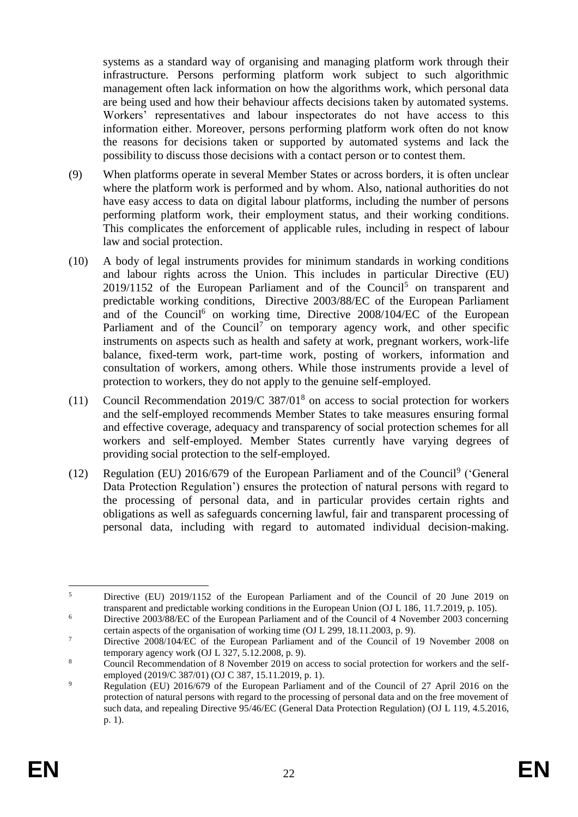systems as a standard way of organising and managing platform work through their infrastructure. Persons performing platform work subject to such algorithmic management often lack information on how the algorithms work, which personal data are being used and how their behaviour affects decisions taken by automated systems. Workers' representatives and labour inspectorates do not have access to this information either. Moreover, persons performing platform work often do not know the reasons for decisions taken or supported by automated systems and lack the possibility to discuss those decisions with a contact person or to contest them.

- (9) When platforms operate in several Member States or across borders, it is often unclear where the platform work is performed and by whom. Also, national authorities do not have easy access to data on digital labour platforms, including the number of persons performing platform work, their employment status, and their working conditions. This complicates the enforcement of applicable rules, including in respect of labour law and social protection.
- (10) A body of legal instruments provides for minimum standards in working conditions and labour rights across the Union. This includes in particular Directive (EU)  $2019/1152$  of the European Parliament and of the Council<sup>5</sup> on transparent and predictable working conditions, Directive 2003/88/EC of the European Parliament and of the Council<sup>6</sup> on working time, Directive 2008/104/EC of the European Parliament and of the Council<sup>7</sup> on temporary agency work, and other specific instruments on aspects such as health and safety at work, pregnant workers, work-life balance, fixed-term work, part-time work, posting of workers, information and consultation of workers, among others. While those instruments provide a level of protection to workers, they do not apply to the genuine self-employed.
- (11) Council Recommendation 2019/C 387/01<sup>8</sup> on access to social protection for workers and the self-employed recommends Member States to take measures ensuring formal and effective coverage, adequacy and transparency of social protection schemes for all workers and self-employed. Member States currently have varying degrees of providing social protection to the self-employed.
- (12) Regulation (EU) 2016/679 of the European Parliament and of the Council<sup>9</sup> ('General Data Protection Regulation') ensures the protection of natural persons with regard to the processing of personal data, and in particular provides certain rights and obligations as well as safeguards concerning lawful, fair and transparent processing of personal data, including with regard to automated individual decision-making.

 $\overline{5}$ <sup>5</sup> Directive (EU) 2019/1152 of the European Parliament and of the Council of 20 June 2019 on transparent and predictable working conditions in the European Union (OJ L 186, 11.7.2019, p. 105).

<sup>&</sup>lt;sup>6</sup> Directive 2003/88/EC of the European Parliament and of the Council of 4 November 2003 concerning certain aspects of the organisation of working time (OJ L 299, 18.11.2003, p. 9).

<sup>&</sup>lt;sup>7</sup> Directive 2008/104/EC of the European Parliament and of the Council of 19 November 2008 on temporary agency work (OJ L 327, 5.12.2008, p. 9).

<sup>&</sup>lt;sup>8</sup> Council Recommendation of 8 November 2019 on access to social protection for workers and the selfemployed (2019/C 387/01) (OJ C 387, 15.11.2019, p. 1).

<sup>&</sup>lt;sup>9</sup> Regulation (EU) 2016/679 of the European Parliament and of the Council of 27 April 2016 on the protection of natural persons with regard to the processing of personal data and on the free movement of such data, and repealing Directive 95/46/EC (General Data Protection Regulation) (OJ L 119, 4.5.2016, p. 1).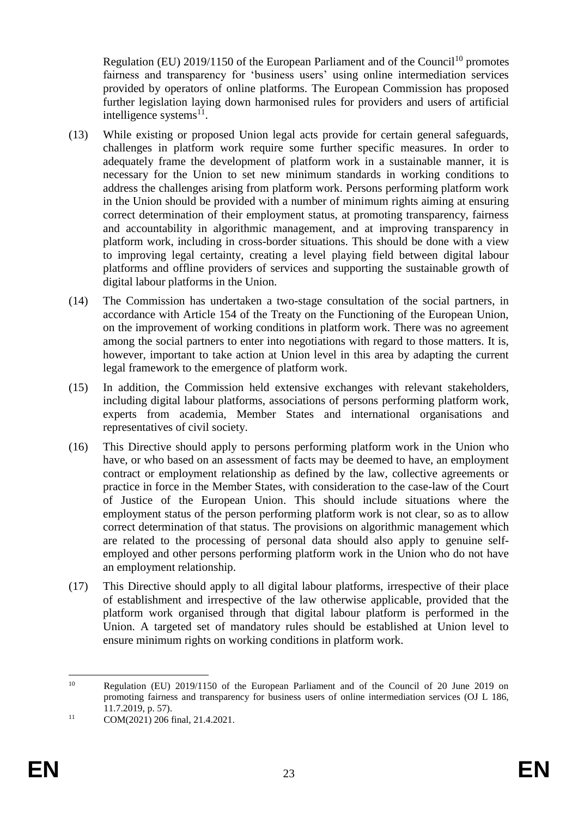Regulation (EU) 2019/1150 of the European Parliament and of the Council<sup>10</sup> promotes fairness and transparency for 'business users' using online intermediation services provided by operators of online platforms. The European Commission has proposed further legislation laying down harmonised rules for providers and users of artificial intelligence systems $^{11}$ .

- (13) While existing or proposed Union legal acts provide for certain general safeguards, challenges in platform work require some further specific measures. In order to adequately frame the development of platform work in a sustainable manner, it is necessary for the Union to set new minimum standards in working conditions to address the challenges arising from platform work. Persons performing platform work in the Union should be provided with a number of minimum rights aiming at ensuring correct determination of their employment status, at promoting transparency, fairness and accountability in algorithmic management, and at improving transparency in platform work, including in cross-border situations. This should be done with a view to improving legal certainty, creating a level playing field between digital labour platforms and offline providers of services and supporting the sustainable growth of digital labour platforms in the Union.
- (14) The Commission has undertaken a two-stage consultation of the social partners, in accordance with Article 154 of the Treaty on the Functioning of the European Union, on the improvement of working conditions in platform work. There was no agreement among the social partners to enter into negotiations with regard to those matters. It is, however, important to take action at Union level in this area by adapting the current legal framework to the emergence of platform work.
- (15) In addition, the Commission held extensive exchanges with relevant stakeholders, including digital labour platforms, associations of persons performing platform work, experts from academia, Member States and international organisations and representatives of civil society.
- (16) This Directive should apply to persons performing platform work in the Union who have, or who based on an assessment of facts may be deemed to have, an employment contract or employment relationship as defined by the law, collective agreements or practice in force in the Member States, with consideration to the case-law of the Court of Justice of the European Union. This should include situations where the employment status of the person performing platform work is not clear, so as to allow correct determination of that status. The provisions on algorithmic management which are related to the processing of personal data should also apply to genuine selfemployed and other persons performing platform work in the Union who do not have an employment relationship.
- (17) This Directive should apply to all digital labour platforms, irrespective of their place of establishment and irrespective of the law otherwise applicable, provided that the platform work organised through that digital labour platform is performed in the Union. A targeted set of mandatory rules should be established at Union level to ensure minimum rights on working conditions in platform work.

 $10\,$ Regulation (EU) 2019/1150 of the European Parliament and of the Council of 20 June 2019 on promoting fairness and transparency for business users of online intermediation services (OJ L 186, 11.7.2019, p. 57).

 $11$  COM(2021) 206 final, 21.4.2021.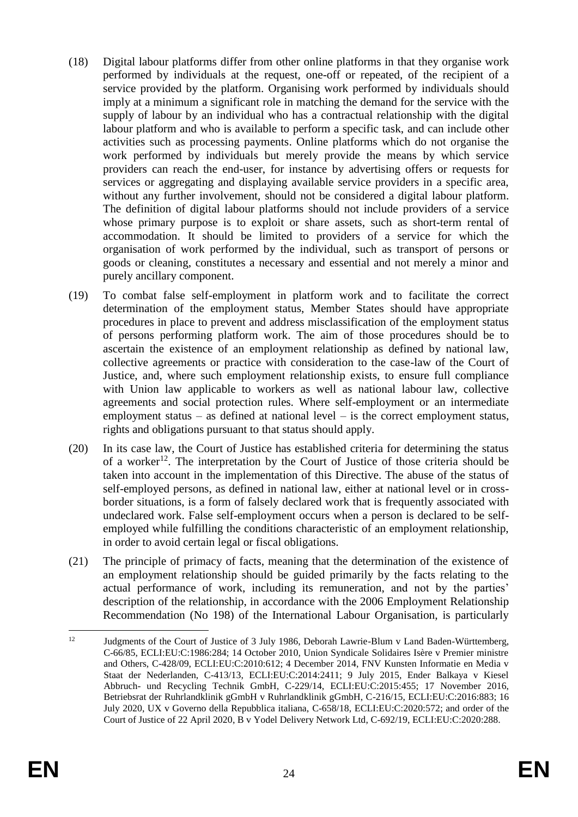- (18) Digital labour platforms differ from other online platforms in that they organise work performed by individuals at the request, one-off or repeated, of the recipient of a service provided by the platform. Organising work performed by individuals should imply at a minimum a significant role in matching the demand for the service with the supply of labour by an individual who has a contractual relationship with the digital labour platform and who is available to perform a specific task, and can include other activities such as processing payments. Online platforms which do not organise the work performed by individuals but merely provide the means by which service providers can reach the end-user, for instance by advertising offers or requests for services or aggregating and displaying available service providers in a specific area, without any further involvement, should not be considered a digital labour platform. The definition of digital labour platforms should not include providers of a service whose primary purpose is to exploit or share assets, such as short-term rental of accommodation. It should be limited to providers of a service for which the organisation of work performed by the individual, such as transport of persons or goods or cleaning, constitutes a necessary and essential and not merely a minor and purely ancillary component.
- (19) To combat false self-employment in platform work and to facilitate the correct determination of the employment status, Member States should have appropriate procedures in place to prevent and address misclassification of the employment status of persons performing platform work. The aim of those procedures should be to ascertain the existence of an employment relationship as defined by national law, collective agreements or practice with consideration to the case-law of the Court of Justice, and, where such employment relationship exists, to ensure full compliance with Union law applicable to workers as well as national labour law, collective agreements and social protection rules. Where self-employment or an intermediate employment status – as defined at national level – is the correct employment status, rights and obligations pursuant to that status should apply.
- (20) In its case law, the Court of Justice has established criteria for determining the status of a worker<sup>12</sup>. The interpretation by the Court of Justice of those criteria should be taken into account in the implementation of this Directive. The abuse of the status of self-employed persons, as defined in national law, either at national level or in crossborder situations, is a form of falsely declared work that is frequently associated with undeclared work. False self-employment occurs when a person is declared to be selfemployed while fulfilling the conditions characteristic of an employment relationship, in order to avoid certain legal or fiscal obligations.
- (21) The principle of primacy of facts, meaning that the determination of the existence of an employment relationship should be guided primarily by the facts relating to the actual performance of work, including its remuneration, and not by the parties' description of the relationship, in accordance with the 2006 Employment Relationship Recommendation (No 198) of the International Labour Organisation, is particularly

 $12$ <sup>12</sup> Judgments of the Court of Justice of 3 July 1986, Deborah Lawrie-Blum v Land Baden-Württemberg, C-66/85, ECLI:EU:C:1986:284; 14 October 2010, Union Syndicale Solidaires Isère v Premier ministre and Others, C-428/09, ECLI:EU:C:2010:612; 4 December 2014, FNV Kunsten Informatie en Media v Staat der Nederlanden, C-413/13, ECLI:EU:C:2014:2411; 9 July 2015, Ender Balkaya v Kiesel Abbruch- und Recycling Technik GmbH, C-229/14, ECLI:EU:C:2015:455; 17 November 2016, Betriebsrat der Ruhrlandklinik gGmbH v Ruhrlandklinik gGmbH, C-216/15, ECLI:EU:C:2016:883; 16 July 2020, UX v Governo della Repubblica italiana, C-658/18, ECLI:EU:C:2020:572; and order of the Court of Justice of 22 April 2020, B v Yodel Delivery Network Ltd, C-692/19, ECLI:EU:C:2020:288.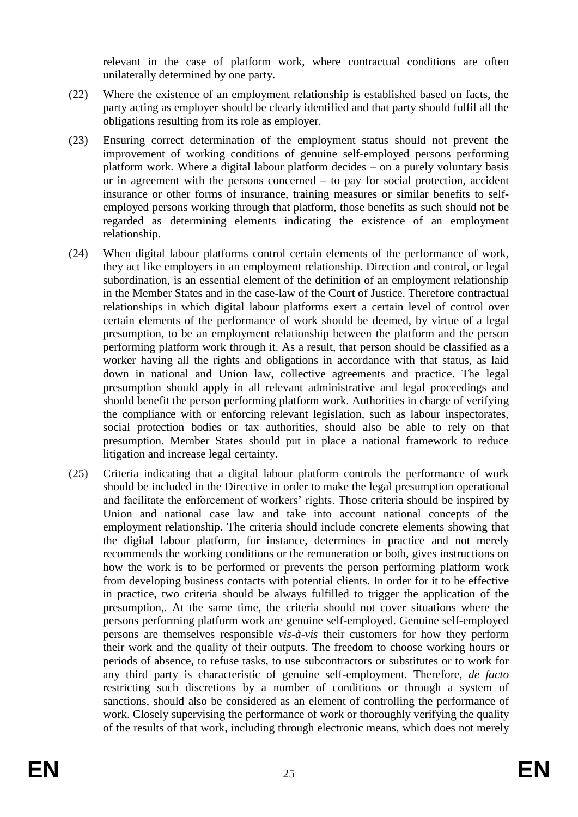relevant in the case of platform work, where contractual conditions are often unilaterally determined by one party.

- (22) Where the existence of an employment relationship is established based on facts, the party acting as employer should be clearly identified and that party should fulfil all the obligations resulting from its role as employer.
- (23) Ensuring correct determination of the employment status should not prevent the improvement of working conditions of genuine self-employed persons performing platform work. Where a digital labour platform decides – on a purely voluntary basis or in agreement with the persons concerned – to pay for social protection, accident insurance or other forms of insurance, training measures or similar benefits to selfemployed persons working through that platform, those benefits as such should not be regarded as determining elements indicating the existence of an employment relationship.
- (24) When digital labour platforms control certain elements of the performance of work, they act like employers in an employment relationship. Direction and control, or legal subordination, is an essential element of the definition of an employment relationship in the Member States and in the case-law of the Court of Justice. Therefore contractual relationships in which digital labour platforms exert a certain level of control over certain elements of the performance of work should be deemed, by virtue of a legal presumption, to be an employment relationship between the platform and the person performing platform work through it. As a result, that person should be classified as a worker having all the rights and obligations in accordance with that status, as laid down in national and Union law, collective agreements and practice. The legal presumption should apply in all relevant administrative and legal proceedings and should benefit the person performing platform work. Authorities in charge of verifying the compliance with or enforcing relevant legislation, such as labour inspectorates, social protection bodies or tax authorities, should also be able to rely on that presumption. Member States should put in place a national framework to reduce litigation and increase legal certainty.
- (25) Criteria indicating that a digital labour platform controls the performance of work should be included in the Directive in order to make the legal presumption operational and facilitate the enforcement of workers' rights. Those criteria should be inspired by Union and national case law and take into account national concepts of the employment relationship. The criteria should include concrete elements showing that the digital labour platform, for instance, determines in practice and not merely recommends the working conditions or the remuneration or both, gives instructions on how the work is to be performed or prevents the person performing platform work from developing business contacts with potential clients. In order for it to be effective in practice, two criteria should be always fulfilled to trigger the application of the presumption,. At the same time, the criteria should not cover situations where the persons performing platform work are genuine self-employed. Genuine self-employed persons are themselves responsible *vis-à-vis* their customers for how they perform their work and the quality of their outputs. The freedom to choose working hours or periods of absence, to refuse tasks, to use subcontractors or substitutes or to work for any third party is characteristic of genuine self-employment. Therefore, *de facto* restricting such discretions by a number of conditions or through a system of sanctions, should also be considered as an element of controlling the performance of work. Closely supervising the performance of work or thoroughly verifying the quality of the results of that work, including through electronic means, which does not merely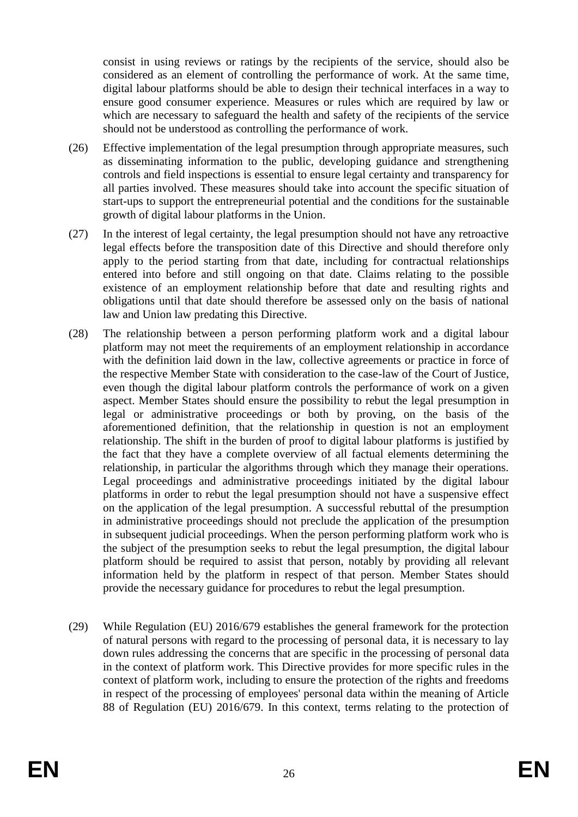consist in using reviews or ratings by the recipients of the service, should also be considered as an element of controlling the performance of work. At the same time, digital labour platforms should be able to design their technical interfaces in a way to ensure good consumer experience. Measures or rules which are required by law or which are necessary to safeguard the health and safety of the recipients of the service should not be understood as controlling the performance of work.

- (26) Effective implementation of the legal presumption through appropriate measures, such as disseminating information to the public, developing guidance and strengthening controls and field inspections is essential to ensure legal certainty and transparency for all parties involved. These measures should take into account the specific situation of start-ups to support the entrepreneurial potential and the conditions for the sustainable growth of digital labour platforms in the Union.
- (27) In the interest of legal certainty, the legal presumption should not have any retroactive legal effects before the transposition date of this Directive and should therefore only apply to the period starting from that date, including for contractual relationships entered into before and still ongoing on that date. Claims relating to the possible existence of an employment relationship before that date and resulting rights and obligations until that date should therefore be assessed only on the basis of national law and Union law predating this Directive.
- (28) The relationship between a person performing platform work and a digital labour platform may not meet the requirements of an employment relationship in accordance with the definition laid down in the law, collective agreements or practice in force of the respective Member State with consideration to the case-law of the Court of Justice, even though the digital labour platform controls the performance of work on a given aspect. Member States should ensure the possibility to rebut the legal presumption in legal or administrative proceedings or both by proving, on the basis of the aforementioned definition, that the relationship in question is not an employment relationship. The shift in the burden of proof to digital labour platforms is justified by the fact that they have a complete overview of all factual elements determining the relationship, in particular the algorithms through which they manage their operations. Legal proceedings and administrative proceedings initiated by the digital labour platforms in order to rebut the legal presumption should not have a suspensive effect on the application of the legal presumption. A successful rebuttal of the presumption in administrative proceedings should not preclude the application of the presumption in subsequent judicial proceedings. When the person performing platform work who is the subject of the presumption seeks to rebut the legal presumption, the digital labour platform should be required to assist that person, notably by providing all relevant information held by the platform in respect of that person. Member States should provide the necessary guidance for procedures to rebut the legal presumption.
- (29) While Regulation (EU) 2016/679 establishes the general framework for the protection of natural persons with regard to the processing of personal data, it is necessary to lay down rules addressing the concerns that are specific in the processing of personal data in the context of platform work. This Directive provides for more specific rules in the context of platform work, including to ensure the protection of the rights and freedoms in respect of the processing of employees' personal data within the meaning of Article 88 of Regulation (EU) 2016/679. In this context, terms relating to the protection of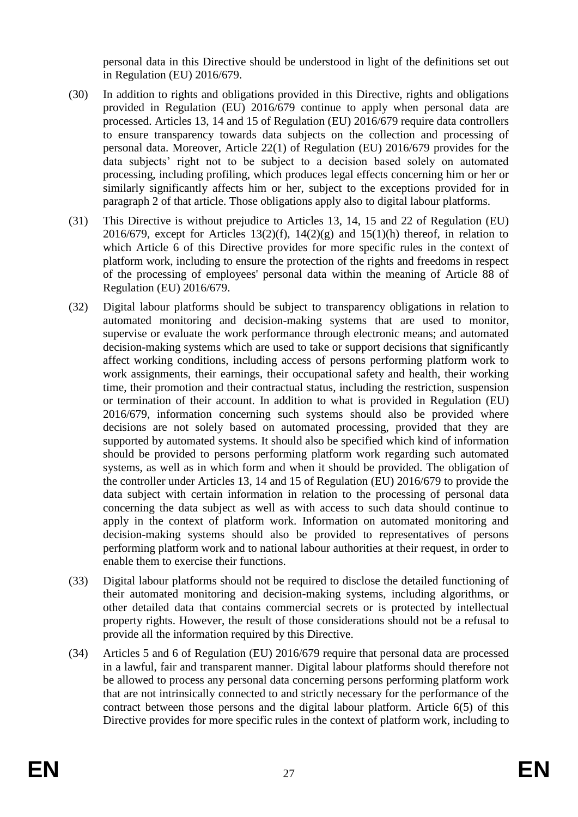personal data in this Directive should be understood in light of the definitions set out in Regulation (EU) 2016/679.

- (30) In addition to rights and obligations provided in this Directive, rights and obligations provided in Regulation (EU) 2016/679 continue to apply when personal data are processed. Articles 13, 14 and 15 of Regulation (EU) 2016/679 require data controllers to ensure transparency towards data subjects on the collection and processing of personal data. Moreover, Article 22(1) of Regulation (EU) 2016/679 provides for the data subjects' right not to be subject to a decision based solely on automated processing, including profiling, which produces legal effects concerning him or her or similarly significantly affects him or her, subject to the exceptions provided for in paragraph 2 of that article. Those obligations apply also to digital labour platforms.
- (31) This Directive is without prejudice to Articles 13, 14, 15 and 22 of Regulation (EU) 2016/679, except for Articles 13(2)(f), 14(2)(g) and 15(1)(h) thereof, in relation to which Article 6 of this Directive provides for more specific rules in the context of platform work, including to ensure the protection of the rights and freedoms in respect of the processing of employees' personal data within the meaning of Article 88 of Regulation (EU) 2016/679.
- (32) Digital labour platforms should be subject to transparency obligations in relation to automated monitoring and decision-making systems that are used to monitor, supervise or evaluate the work performance through electronic means; and automated decision-making systems which are used to take or support decisions that significantly affect working conditions, including access of persons performing platform work to work assignments, their earnings, their occupational safety and health, their working time, their promotion and their contractual status, including the restriction, suspension or termination of their account. In addition to what is provided in Regulation (EU) 2016/679, information concerning such systems should also be provided where decisions are not solely based on automated processing, provided that they are supported by automated systems. It should also be specified which kind of information should be provided to persons performing platform work regarding such automated systems, as well as in which form and when it should be provided. The obligation of the controller under Articles 13, 14 and 15 of Regulation (EU) 2016/679 to provide the data subject with certain information in relation to the processing of personal data concerning the data subject as well as with access to such data should continue to apply in the context of platform work. Information on automated monitoring and decision-making systems should also be provided to representatives of persons performing platform work and to national labour authorities at their request, in order to enable them to exercise their functions.
- (33) Digital labour platforms should not be required to disclose the detailed functioning of their automated monitoring and decision-making systems, including algorithms, or other detailed data that contains commercial secrets or is protected by intellectual property rights. However, the result of those considerations should not be a refusal to provide all the information required by this Directive.
- (34) Articles 5 and 6 of Regulation (EU) 2016/679 require that personal data are processed in a lawful, fair and transparent manner. Digital labour platforms should therefore not be allowed to process any personal data concerning persons performing platform work that are not intrinsically connected to and strictly necessary for the performance of the contract between those persons and the digital labour platform. Article 6(5) of this Directive provides for more specific rules in the context of platform work, including to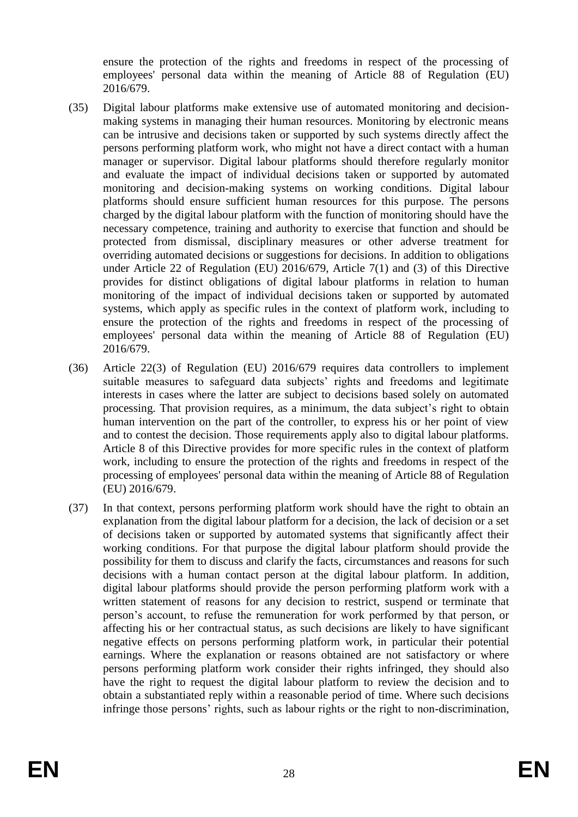ensure the protection of the rights and freedoms in respect of the processing of employees' personal data within the meaning of Article 88 of Regulation (EU) 2016/679.

- (35) Digital labour platforms make extensive use of automated monitoring and decisionmaking systems in managing their human resources. Monitoring by electronic means can be intrusive and decisions taken or supported by such systems directly affect the persons performing platform work, who might not have a direct contact with a human manager or supervisor. Digital labour platforms should therefore regularly monitor and evaluate the impact of individual decisions taken or supported by automated monitoring and decision-making systems on working conditions. Digital labour platforms should ensure sufficient human resources for this purpose. The persons charged by the digital labour platform with the function of monitoring should have the necessary competence, training and authority to exercise that function and should be protected from dismissal, disciplinary measures or other adverse treatment for overriding automated decisions or suggestions for decisions. In addition to obligations under Article 22 of Regulation (EU) 2016/679, Article 7(1) and (3) of this Directive provides for distinct obligations of digital labour platforms in relation to human monitoring of the impact of individual decisions taken or supported by automated systems, which apply as specific rules in the context of platform work, including to ensure the protection of the rights and freedoms in respect of the processing of employees' personal data within the meaning of Article 88 of Regulation (EU) 2016/679.
- (36) Article 22(3) of Regulation (EU) 2016/679 requires data controllers to implement suitable measures to safeguard data subjects' rights and freedoms and legitimate interests in cases where the latter are subject to decisions based solely on automated processing. That provision requires, as a minimum, the data subject's right to obtain human intervention on the part of the controller, to express his or her point of view and to contest the decision. Those requirements apply also to digital labour platforms. Article 8 of this Directive provides for more specific rules in the context of platform work, including to ensure the protection of the rights and freedoms in respect of the processing of employees' personal data within the meaning of Article 88 of Regulation (EU) 2016/679.
- (37) In that context, persons performing platform work should have the right to obtain an explanation from the digital labour platform for a decision, the lack of decision or a set of decisions taken or supported by automated systems that significantly affect their working conditions. For that purpose the digital labour platform should provide the possibility for them to discuss and clarify the facts, circumstances and reasons for such decisions with a human contact person at the digital labour platform. In addition, digital labour platforms should provide the person performing platform work with a written statement of reasons for any decision to restrict, suspend or terminate that person's account, to refuse the remuneration for work performed by that person, or affecting his or her contractual status, as such decisions are likely to have significant negative effects on persons performing platform work, in particular their potential earnings. Where the explanation or reasons obtained are not satisfactory or where persons performing platform work consider their rights infringed, they should also have the right to request the digital labour platform to review the decision and to obtain a substantiated reply within a reasonable period of time. Where such decisions infringe those persons' rights, such as labour rights or the right to non-discrimination,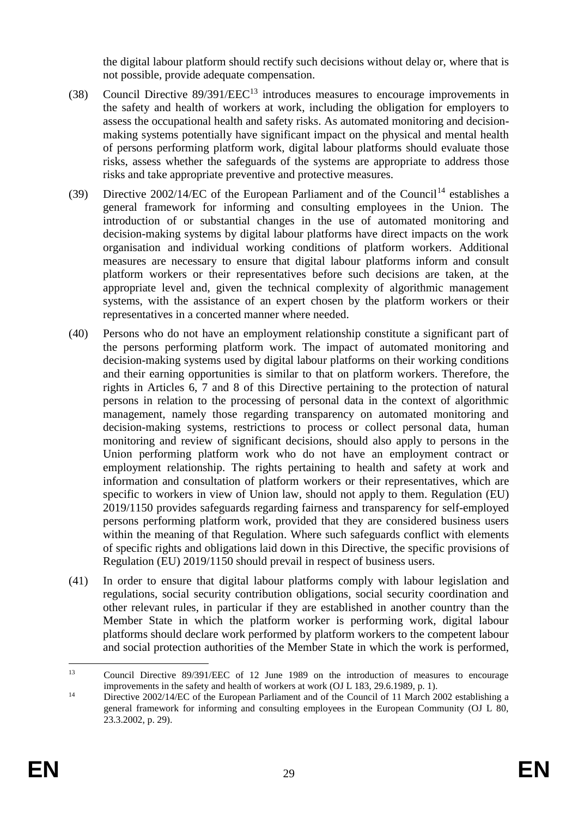the digital labour platform should rectify such decisions without delay or, where that is not possible, provide adequate compensation.

- (38) Council Directive 89/391/EEC<sup>13</sup> introduces measures to encourage improvements in the safety and health of workers at work, including the obligation for employers to assess the occupational health and safety risks. As automated monitoring and decisionmaking systems potentially have significant impact on the physical and mental health of persons performing platform work, digital labour platforms should evaluate those risks, assess whether the safeguards of the systems are appropriate to address those risks and take appropriate preventive and protective measures.
- (39) Directive  $2002/14/EC$  of the European Parliament and of the Council<sup>14</sup> establishes a general framework for informing and consulting employees in the Union. The introduction of or substantial changes in the use of automated monitoring and decision-making systems by digital labour platforms have direct impacts on the work organisation and individual working conditions of platform workers. Additional measures are necessary to ensure that digital labour platforms inform and consult platform workers or their representatives before such decisions are taken, at the appropriate level and, given the technical complexity of algorithmic management systems, with the assistance of an expert chosen by the platform workers or their representatives in a concerted manner where needed.
- (40) Persons who do not have an employment relationship constitute a significant part of the persons performing platform work. The impact of automated monitoring and decision-making systems used by digital labour platforms on their working conditions and their earning opportunities is similar to that on platform workers. Therefore, the rights in Articles 6, 7 and 8 of this Directive pertaining to the protection of natural persons in relation to the processing of personal data in the context of algorithmic management, namely those regarding transparency on automated monitoring and decision-making systems, restrictions to process or collect personal data, human monitoring and review of significant decisions, should also apply to persons in the Union performing platform work who do not have an employment contract or employment relationship. The rights pertaining to health and safety at work and information and consultation of platform workers or their representatives, which are specific to workers in view of Union law, should not apply to them. Regulation (EU) 2019/1150 provides safeguards regarding fairness and transparency for self-employed persons performing platform work, provided that they are considered business users within the meaning of that Regulation. Where such safeguards conflict with elements of specific rights and obligations laid down in this Directive, the specific provisions of Regulation (EU) 2019/1150 should prevail in respect of business users.
- (41) In order to ensure that digital labour platforms comply with labour legislation and regulations, social security contribution obligations, social security coordination and other relevant rules, in particular if they are established in another country than the Member State in which the platform worker is performing work, digital labour platforms should declare work performed by platform workers to the competent labour and social protection authorities of the Member State in which the work is performed,

<sup>13</sup> <sup>13</sup> Council Directive 89/391/EEC of 12 June 1989 on the introduction of measures to encourage improvements in the safety and health of workers at work (OJ L 183, 29.6.1989, p. 1).

<sup>&</sup>lt;sup>14</sup> Directive 2002/14/EC of the European Parliament and of the Council of 11 March 2002 establishing a general framework for informing and consulting employees in the European Community (OJ L 80, 23.3.2002, p. 29).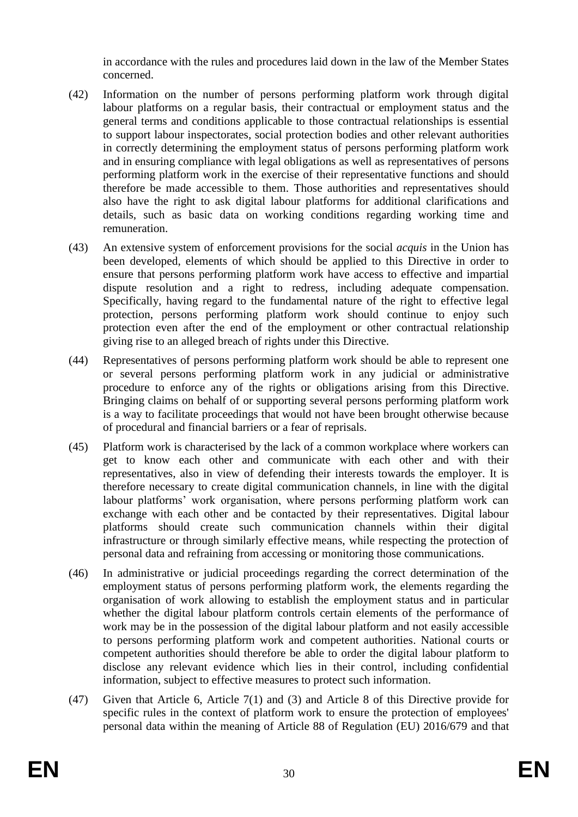in accordance with the rules and procedures laid down in the law of the Member States concerned.

- (42) Information on the number of persons performing platform work through digital labour platforms on a regular basis, their contractual or employment status and the general terms and conditions applicable to those contractual relationships is essential to support labour inspectorates, social protection bodies and other relevant authorities in correctly determining the employment status of persons performing platform work and in ensuring compliance with legal obligations as well as representatives of persons performing platform work in the exercise of their representative functions and should therefore be made accessible to them. Those authorities and representatives should also have the right to ask digital labour platforms for additional clarifications and details, such as basic data on working conditions regarding working time and remuneration.
- (43) An extensive system of enforcement provisions for the social *acquis* in the Union has been developed, elements of which should be applied to this Directive in order to ensure that persons performing platform work have access to effective and impartial dispute resolution and a right to redress, including adequate compensation. Specifically, having regard to the fundamental nature of the right to effective legal protection, persons performing platform work should continue to enjoy such protection even after the end of the employment or other contractual relationship giving rise to an alleged breach of rights under this Directive.
- (44) Representatives of persons performing platform work should be able to represent one or several persons performing platform work in any judicial or administrative procedure to enforce any of the rights or obligations arising from this Directive. Bringing claims on behalf of or supporting several persons performing platform work is a way to facilitate proceedings that would not have been brought otherwise because of procedural and financial barriers or a fear of reprisals.
- (45) Platform work is characterised by the lack of a common workplace where workers can get to know each other and communicate with each other and with their representatives, also in view of defending their interests towards the employer. It is therefore necessary to create digital communication channels, in line with the digital labour platforms' work organisation, where persons performing platform work can exchange with each other and be contacted by their representatives. Digital labour platforms should create such communication channels within their digital infrastructure or through similarly effective means, while respecting the protection of personal data and refraining from accessing or monitoring those communications.
- (46) In administrative or judicial proceedings regarding the correct determination of the employment status of persons performing platform work, the elements regarding the organisation of work allowing to establish the employment status and in particular whether the digital labour platform controls certain elements of the performance of work may be in the possession of the digital labour platform and not easily accessible to persons performing platform work and competent authorities. National courts or competent authorities should therefore be able to order the digital labour platform to disclose any relevant evidence which lies in their control, including confidential information, subject to effective measures to protect such information.
- (47) Given that Article 6, Article 7(1) and (3) and Article 8 of this Directive provide for specific rules in the context of platform work to ensure the protection of employees' personal data within the meaning of Article 88 of Regulation (EU) 2016/679 and that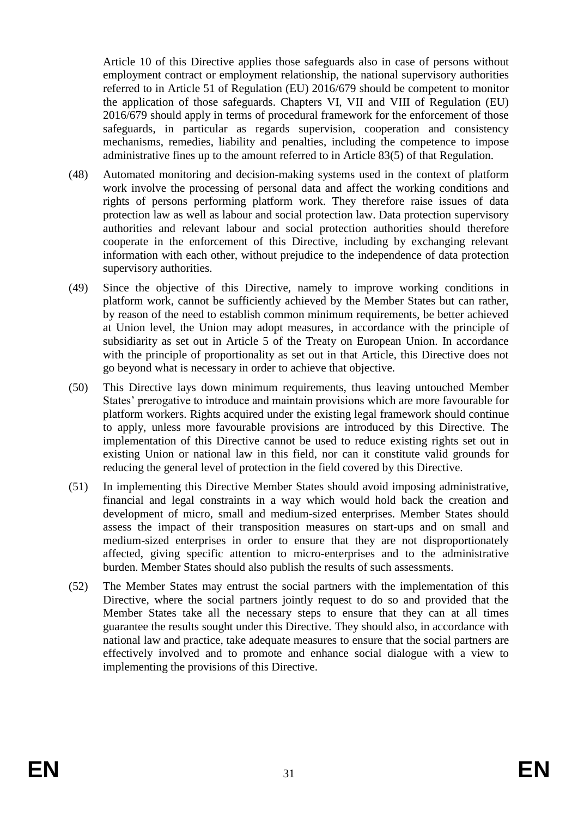Article 10 of this Directive applies those safeguards also in case of persons without employment contract or employment relationship, the national supervisory authorities referred to in Article 51 of Regulation (EU) 2016/679 should be competent to monitor the application of those safeguards. Chapters VI, VII and VIII of Regulation (EU) 2016/679 should apply in terms of procedural framework for the enforcement of those safeguards, in particular as regards supervision, cooperation and consistency mechanisms, remedies, liability and penalties, including the competence to impose administrative fines up to the amount referred to in Article 83(5) of that Regulation.

- (48) Automated monitoring and decision-making systems used in the context of platform work involve the processing of personal data and affect the working conditions and rights of persons performing platform work. They therefore raise issues of data protection law as well as labour and social protection law. Data protection supervisory authorities and relevant labour and social protection authorities should therefore cooperate in the enforcement of this Directive, including by exchanging relevant information with each other, without prejudice to the independence of data protection supervisory authorities.
- (49) Since the objective of this Directive, namely to improve working conditions in platform work, cannot be sufficiently achieved by the Member States but can rather, by reason of the need to establish common minimum requirements, be better achieved at Union level, the Union may adopt measures, in accordance with the principle of subsidiarity as set out in Article 5 of the Treaty on European Union. In accordance with the principle of proportionality as set out in that Article, this Directive does not go beyond what is necessary in order to achieve that objective.
- (50) This Directive lays down minimum requirements, thus leaving untouched Member States' prerogative to introduce and maintain provisions which are more favourable for platform workers. Rights acquired under the existing legal framework should continue to apply, unless more favourable provisions are introduced by this Directive. The implementation of this Directive cannot be used to reduce existing rights set out in existing Union or national law in this field, nor can it constitute valid grounds for reducing the general level of protection in the field covered by this Directive.
- (51) In implementing this Directive Member States should avoid imposing administrative, financial and legal constraints in a way which would hold back the creation and development of micro, small and medium-sized enterprises. Member States should assess the impact of their transposition measures on start-ups and on small and medium-sized enterprises in order to ensure that they are not disproportionately affected, giving specific attention to micro-enterprises and to the administrative burden. Member States should also publish the results of such assessments.
- (52) The Member States may entrust the social partners with the implementation of this Directive, where the social partners jointly request to do so and provided that the Member States take all the necessary steps to ensure that they can at all times guarantee the results sought under this Directive. They should also, in accordance with national law and practice, take adequate measures to ensure that the social partners are effectively involved and to promote and enhance social dialogue with a view to implementing the provisions of this Directive.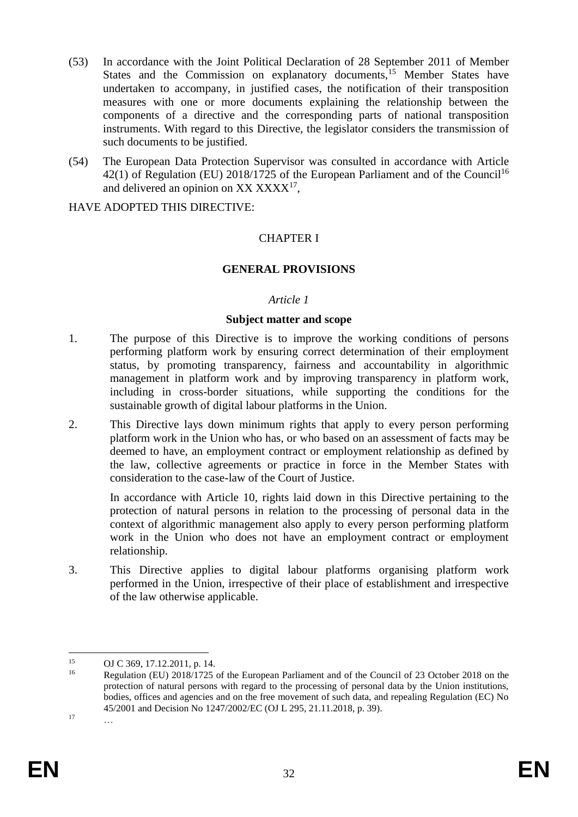- (53) In accordance with the Joint Political Declaration of 28 September 2011 of Member States and the Commission on explanatory documents,<sup>15</sup> Member States have undertaken to accompany, in justified cases, the notification of their transposition measures with one or more documents explaining the relationship between the components of a directive and the corresponding parts of national transposition instruments. With regard to this Directive, the legislator considers the transmission of such documents to be justified.
- (54) The European Data Protection Supervisor was consulted in accordance with Article 42(1) of Regulation (EU) 2018/1725 of the European Parliament and of the Council<sup>16</sup> and delivered an opinion on  $XX XXXX^{17}$ ,

### HAVE ADOPTED THIS DIRECTIVE:

# CHAPTER I

## **GENERAL PROVISIONS**

### *Article 1*

### **Subject matter and scope**

- 1. The purpose of this Directive is to improve the working conditions of persons performing platform work by ensuring correct determination of their employment status, by promoting transparency, fairness and accountability in algorithmic management in platform work and by improving transparency in platform work, including in cross-border situations, while supporting the conditions for the sustainable growth of digital labour platforms in the Union.
- 2. This Directive lays down minimum rights that apply to every person performing platform work in the Union who has, or who based on an assessment of facts may be deemed to have, an employment contract or employment relationship as defined by the law, collective agreements or practice in force in the Member States with consideration to the case-law of the Court of Justice.

In accordance with Article 10, rights laid down in this Directive pertaining to the protection of natural persons in relation to the processing of personal data in the context of algorithmic management also apply to every person performing platform work in the Union who does not have an employment contract or employment relationship.

3. This Directive applies to digital labour platforms organising platform work performed in the Union, irrespective of their place of establishment and irrespective of the law otherwise applicable.

<sup>1</sup> <sup>15</sup> OJ C 369, 17.12.2011, p. 14.

Regulation (EU) 2018/1725 of the European Parliament and of the Council of 23 October 2018 on the protection of natural persons with regard to the processing of personal data by the Union institutions, bodies, offices and agencies and on the free movement of such data, and repealing Regulation (EC) No 45/2001 and Decision No 1247/2002/EC (OJ L 295, 21.11.2018, p. 39).  $17 \quad \dots$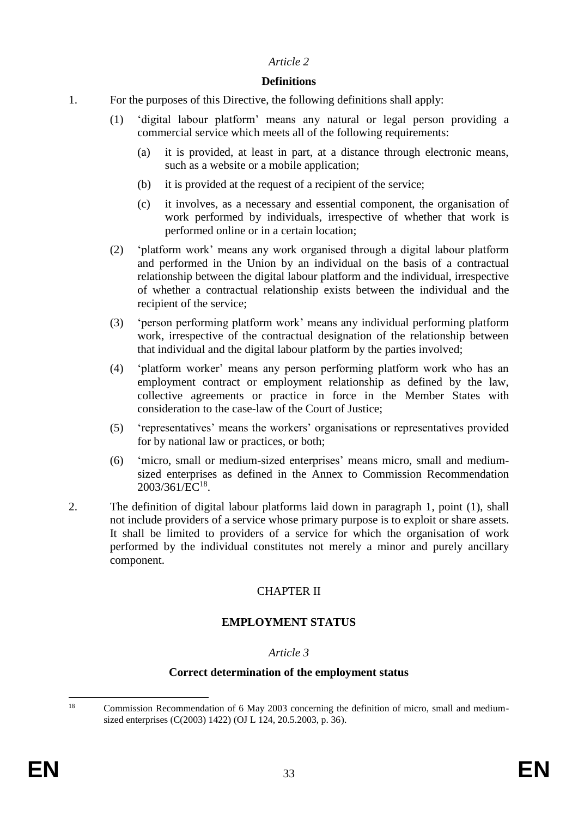## **Definitions**

- 1. For the purposes of this Directive, the following definitions shall apply:
	- (1) 'digital labour platform' means any natural or legal person providing a commercial service which meets all of the following requirements:
		- (a) it is provided, at least in part, at a distance through electronic means, such as a website or a mobile application;
		- (b) it is provided at the request of a recipient of the service;
		- (c) it involves, as a necessary and essential component, the organisation of work performed by individuals, irrespective of whether that work is performed online or in a certain location;
	- (2) 'platform work' means any work organised through a digital labour platform and performed in the Union by an individual on the basis of a contractual relationship between the digital labour platform and the individual, irrespective of whether a contractual relationship exists between the individual and the recipient of the service;
	- (3) 'person performing platform work' means any individual performing platform work, irrespective of the contractual designation of the relationship between that individual and the digital labour platform by the parties involved;
	- (4) 'platform worker' means any person performing platform work who has an employment contract or employment relationship as defined by the law, collective agreements or practice in force in the Member States with consideration to the case-law of the Court of Justice;
	- (5) 'representatives' means the workers' organisations or representatives provided for by national law or practices, or both;
	- (6) 'micro, small or medium-sized enterprises' means micro, small and mediumsized enterprises as defined in the Annex to Commission Recommendation 2003/361/EC<sup>18</sup>.
- 2. The definition of digital labour platforms laid down in paragraph 1, point (1), shall not include providers of a service whose primary purpose is to exploit or share assets. It shall be limited to providers of a service for which the organisation of work performed by the individual constitutes not merely a minor and purely ancillary component.

# CHAPTER II

# **EMPLOYMENT STATUS**

# *Article 3*

### **Correct determination of the employment status**

 $18$ <sup>18</sup> Commission Recommendation of 6 May 2003 concerning the definition of micro, small and mediumsized enterprises (C(2003) 1422) (OJ L 124, 20.5.2003, p. 36).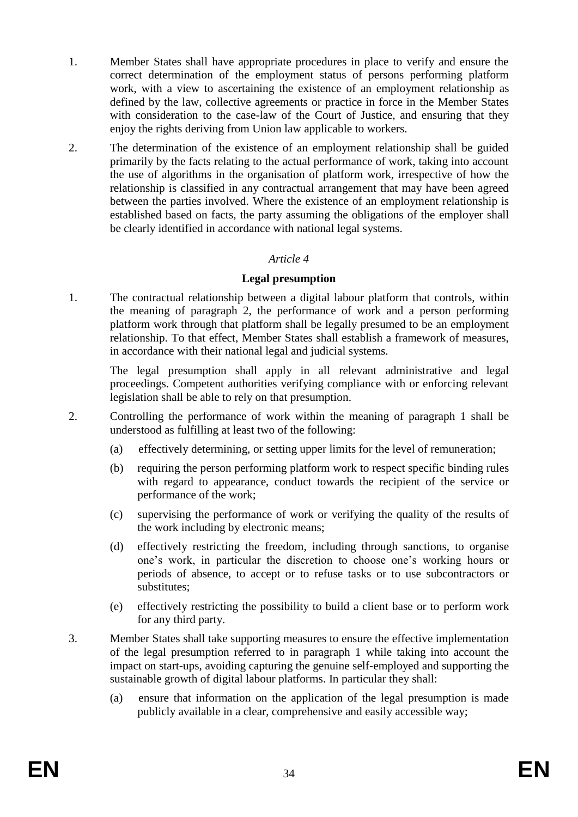- 1. Member States shall have appropriate procedures in place to verify and ensure the correct determination of the employment status of persons performing platform work, with a view to ascertaining the existence of an employment relationship as defined by the law, collective agreements or practice in force in the Member States with consideration to the case-law of the Court of Justice, and ensuring that they enjoy the rights deriving from Union law applicable to workers.
- 2. The determination of the existence of an employment relationship shall be guided primarily by the facts relating to the actual performance of work, taking into account the use of algorithms in the organisation of platform work, irrespective of how the relationship is classified in any contractual arrangement that may have been agreed between the parties involved. Where the existence of an employment relationship is established based on facts, the party assuming the obligations of the employer shall be clearly identified in accordance with national legal systems.

### **Legal presumption**

1. The contractual relationship between a digital labour platform that controls, within the meaning of paragraph 2, the performance of work and a person performing platform work through that platform shall be legally presumed to be an employment relationship. To that effect, Member States shall establish a framework of measures, in accordance with their national legal and judicial systems.

The legal presumption shall apply in all relevant administrative and legal proceedings. Competent authorities verifying compliance with or enforcing relevant legislation shall be able to rely on that presumption.

- 2. Controlling the performance of work within the meaning of paragraph 1 shall be understood as fulfilling at least two of the following:
	- (a) effectively determining, or setting upper limits for the level of remuneration;
	- (b) requiring the person performing platform work to respect specific binding rules with regard to appearance, conduct towards the recipient of the service or performance of the work;
	- (c) supervising the performance of work or verifying the quality of the results of the work including by electronic means;
	- (d) effectively restricting the freedom, including through sanctions, to organise one's work, in particular the discretion to choose one's working hours or periods of absence, to accept or to refuse tasks or to use subcontractors or substitutes;
	- (e) effectively restricting the possibility to build a client base or to perform work for any third party.
- 3. Member States shall take supporting measures to ensure the effective implementation of the legal presumption referred to in paragraph 1 while taking into account the impact on start-ups, avoiding capturing the genuine self-employed and supporting the sustainable growth of digital labour platforms. In particular they shall:
	- (a) ensure that information on the application of the legal presumption is made publicly available in a clear, comprehensive and easily accessible way;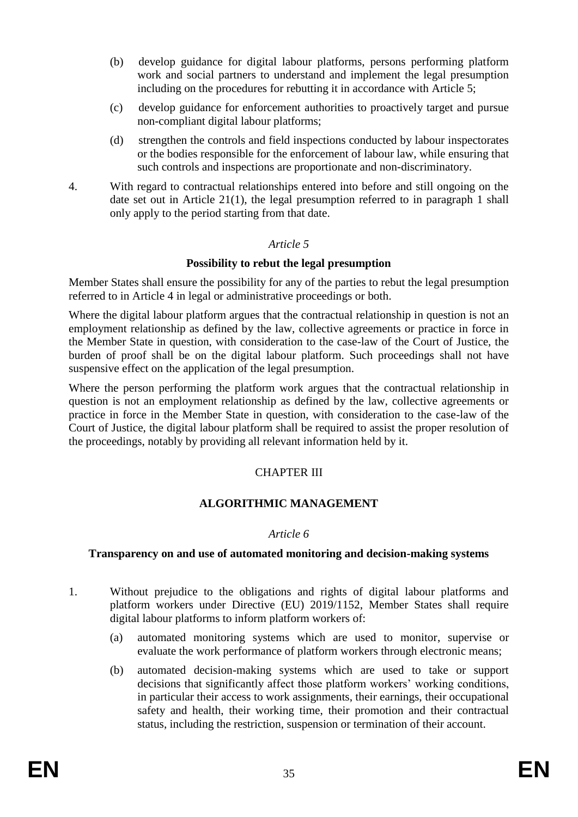- (b) develop guidance for digital labour platforms, persons performing platform work and social partners to understand and implement the legal presumption including on the procedures for rebutting it in accordance with Article 5;
- (c) develop guidance for enforcement authorities to proactively target and pursue non-compliant digital labour platforms;
- (d) strengthen the controls and field inspections conducted by labour inspectorates or the bodies responsible for the enforcement of labour law, while ensuring that such controls and inspections are proportionate and non-discriminatory.
- 4. With regard to contractual relationships entered into before and still ongoing on the date set out in Article 21(1), the legal presumption referred to in paragraph 1 shall only apply to the period starting from that date.

## **Possibility to rebut the legal presumption**

Member States shall ensure the possibility for any of the parties to rebut the legal presumption referred to in Article 4 in legal or administrative proceedings or both.

Where the digital labour platform argues that the contractual relationship in question is not an employment relationship as defined by the law, collective agreements or practice in force in the Member State in question, with consideration to the case-law of the Court of Justice, the burden of proof shall be on the digital labour platform. Such proceedings shall not have suspensive effect on the application of the legal presumption.

Where the person performing the platform work argues that the contractual relationship in question is not an employment relationship as defined by the law, collective agreements or practice in force in the Member State in question, with consideration to the case-law of the Court of Justice, the digital labour platform shall be required to assist the proper resolution of the proceedings, notably by providing all relevant information held by it.

# CHAPTER III

# **ALGORITHMIC MANAGEMENT**

### *Article 6*

### **Transparency on and use of automated monitoring and decision-making systems**

- 1. Without prejudice to the obligations and rights of digital labour platforms and platform workers under Directive (EU) 2019/1152, Member States shall require digital labour platforms to inform platform workers of:
	- (a) automated monitoring systems which are used to monitor, supervise or evaluate the work performance of platform workers through electronic means;
	- (b) automated decision-making systems which are used to take or support decisions that significantly affect those platform workers' working conditions, in particular their access to work assignments, their earnings, their occupational safety and health, their working time, their promotion and their contractual status, including the restriction, suspension or termination of their account.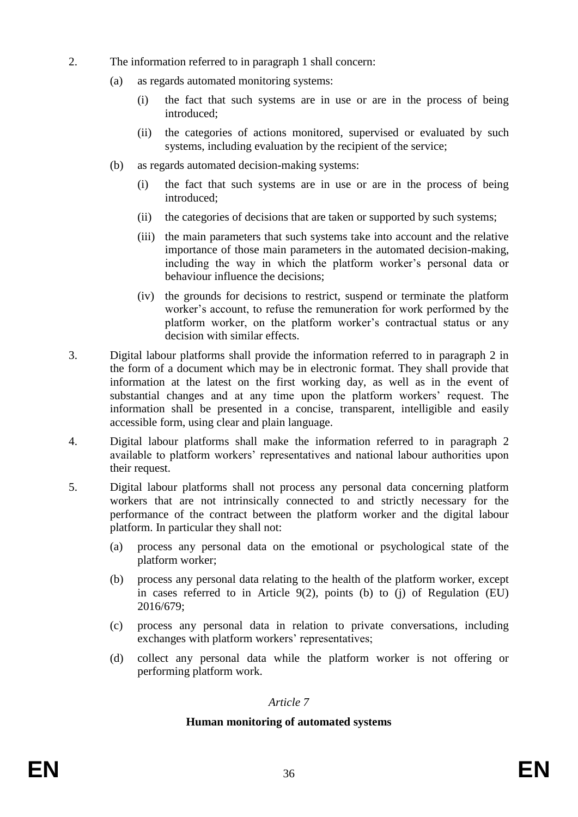- 2. The information referred to in paragraph 1 shall concern:
	- (a) as regards automated monitoring systems:
		- (i) the fact that such systems are in use or are in the process of being introduced;
		- (ii) the categories of actions monitored, supervised or evaluated by such systems, including evaluation by the recipient of the service;
	- (b) as regards automated decision-making systems:
		- (i) the fact that such systems are in use or are in the process of being introduced;
		- (ii) the categories of decisions that are taken or supported by such systems;
		- (iii) the main parameters that such systems take into account and the relative importance of those main parameters in the automated decision-making, including the way in which the platform worker's personal data or behaviour influence the decisions;
		- (iv) the grounds for decisions to restrict, suspend or terminate the platform worker's account, to refuse the remuneration for work performed by the platform worker, on the platform worker's contractual status or any decision with similar effects.
- 3. Digital labour platforms shall provide the information referred to in paragraph 2 in the form of a document which may be in electronic format. They shall provide that information at the latest on the first working day, as well as in the event of substantial changes and at any time upon the platform workers' request. The information shall be presented in a concise, transparent, intelligible and easily accessible form, using clear and plain language.
- 4. Digital labour platforms shall make the information referred to in paragraph 2 available to platform workers' representatives and national labour authorities upon their request.
- 5. Digital labour platforms shall not process any personal data concerning platform workers that are not intrinsically connected to and strictly necessary for the performance of the contract between the platform worker and the digital labour platform. In particular they shall not:
	- (a) process any personal data on the emotional or psychological state of the platform worker;
	- (b) process any personal data relating to the health of the platform worker, except in cases referred to in Article 9(2), points (b) to (j) of Regulation (EU) 2016/679;
	- (c) process any personal data in relation to private conversations, including exchanges with platform workers' representatives;
	- (d) collect any personal data while the platform worker is not offering or performing platform work.

### **Human monitoring of automated systems**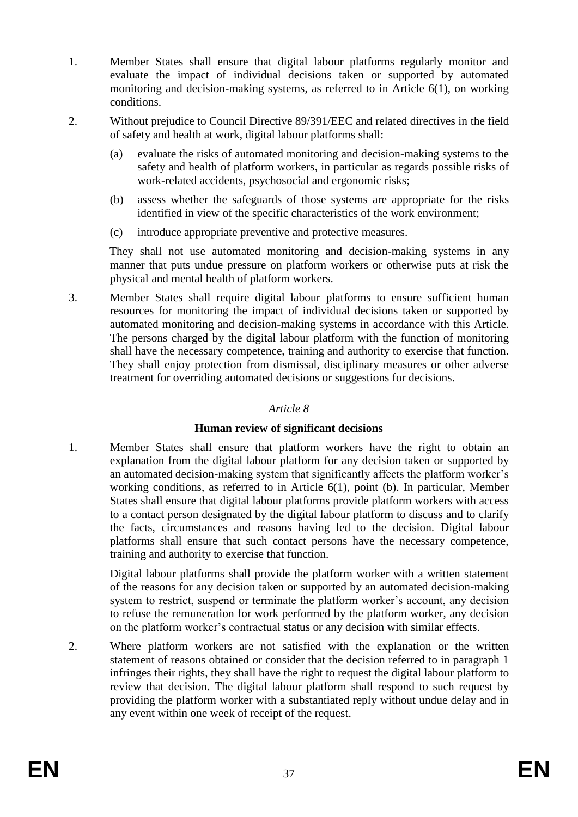- 1. Member States shall ensure that digital labour platforms regularly monitor and evaluate the impact of individual decisions taken or supported by automated monitoring and decision-making systems, as referred to in Article 6(1), on working conditions.
- 2. Without prejudice to Council Directive 89/391/EEC and related directives in the field of safety and health at work, digital labour platforms shall:
	- (a) evaluate the risks of automated monitoring and decision-making systems to the safety and health of platform workers, in particular as regards possible risks of work-related accidents, psychosocial and ergonomic risks;
	- (b) assess whether the safeguards of those systems are appropriate for the risks identified in view of the specific characteristics of the work environment;
	- (c) introduce appropriate preventive and protective measures.

 They shall not use automated monitoring and decision-making systems in any manner that puts undue pressure on platform workers or otherwise puts at risk the physical and mental health of platform workers.

3. Member States shall require digital labour platforms to ensure sufficient human resources for monitoring the impact of individual decisions taken or supported by automated monitoring and decision-making systems in accordance with this Article. The persons charged by the digital labour platform with the function of monitoring shall have the necessary competence, training and authority to exercise that function. They shall enjoy protection from dismissal, disciplinary measures or other adverse treatment for overriding automated decisions or suggestions for decisions.

## *Article 8*

# **Human review of significant decisions**

1. Member States shall ensure that platform workers have the right to obtain an explanation from the digital labour platform for any decision taken or supported by an automated decision-making system that significantly affects the platform worker's working conditions, as referred to in Article 6(1), point (b). In particular, Member States shall ensure that digital labour platforms provide platform workers with access to a contact person designated by the digital labour platform to discuss and to clarify the facts, circumstances and reasons having led to the decision. Digital labour platforms shall ensure that such contact persons have the necessary competence, training and authority to exercise that function.

Digital labour platforms shall provide the platform worker with a written statement of the reasons for any decision taken or supported by an automated decision-making system to restrict, suspend or terminate the platform worker's account, any decision to refuse the remuneration for work performed by the platform worker, any decision on the platform worker's contractual status or any decision with similar effects.

2. Where platform workers are not satisfied with the explanation or the written statement of reasons obtained or consider that the decision referred to in paragraph 1 infringes their rights, they shall have the right to request the digital labour platform to review that decision. The digital labour platform shall respond to such request by providing the platform worker with a substantiated reply without undue delay and in any event within one week of receipt of the request.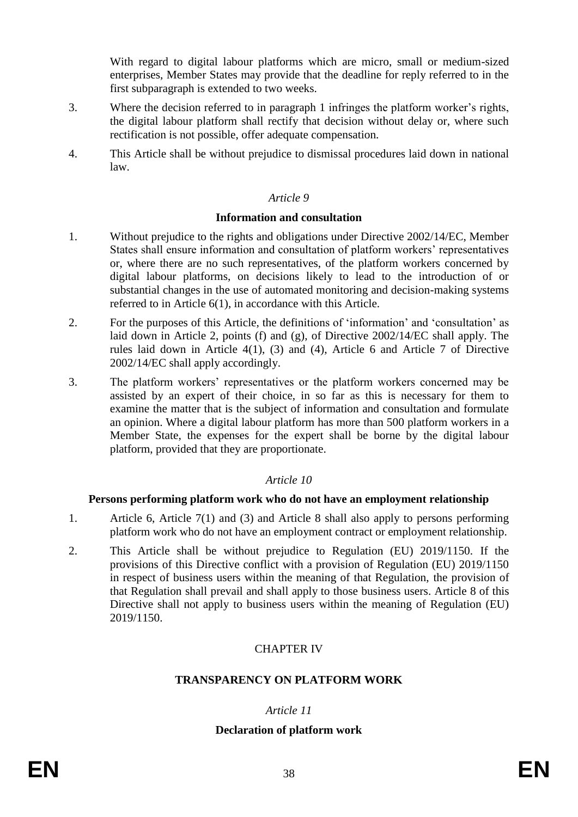With regard to digital labour platforms which are micro, small or medium-sized enterprises, Member States may provide that the deadline for reply referred to in the first subparagraph is extended to two weeks.

- 3. Where the decision referred to in paragraph 1 infringes the platform worker's rights, the digital labour platform shall rectify that decision without delay or, where such rectification is not possible, offer adequate compensation.
- 4. This Article shall be without prejudice to dismissal procedures laid down in national law.

### *Article 9*

### **Information and consultation**

- 1. Without prejudice to the rights and obligations under Directive 2002/14/EC, Member States shall ensure information and consultation of platform workers' representatives or, where there are no such representatives, of the platform workers concerned by digital labour platforms, on decisions likely to lead to the introduction of or substantial changes in the use of automated monitoring and decision-making systems referred to in Article 6(1), in accordance with this Article.
- 2. For the purposes of this Article, the definitions of 'information' and 'consultation' as laid down in Article 2, points (f) and (g), of Directive 2002/14/EC shall apply. The rules laid down in Article 4(1), (3) and (4), Article 6 and Article 7 of Directive 2002/14/EC shall apply accordingly.
- 3. The platform workers' representatives or the platform workers concerned may be assisted by an expert of their choice, in so far as this is necessary for them to examine the matter that is the subject of information and consultation and formulate an opinion. Where a digital labour platform has more than 500 platform workers in a Member State, the expenses for the expert shall be borne by the digital labour platform, provided that they are proportionate.

# *Article 10*

### **Persons performing platform work who do not have an employment relationship**

- 1. Article 6, Article 7(1) and (3) and Article 8 shall also apply to persons performing platform work who do not have an employment contract or employment relationship.
- 2. This Article shall be without prejudice to Regulation (EU) 2019/1150. If the provisions of this Directive conflict with a provision of Regulation (EU) 2019/1150 in respect of business users within the meaning of that Regulation, the provision of that Regulation shall prevail and shall apply to those business users. Article 8 of this Directive shall not apply to business users within the meaning of Regulation (EU) 2019/1150.

# CHAPTER IV

# **TRANSPARENCY ON PLATFORM WORK**

# *Article 11*

# **Declaration of platform work**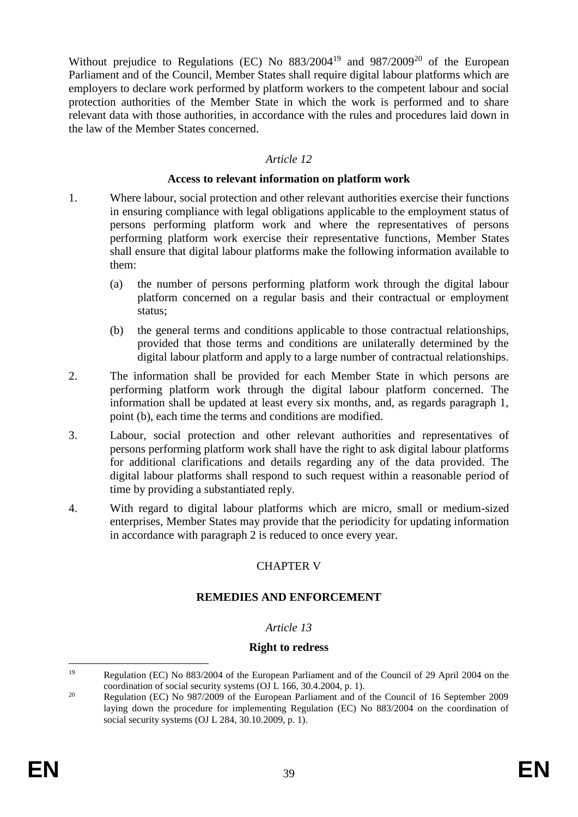Without prejudice to Regulations (EC) No  $883/2004^{19}$  and  $987/2009^{20}$  of the European Parliament and of the Council, Member States shall require digital labour platforms which are employers to declare work performed by platform workers to the competent labour and social protection authorities of the Member State in which the work is performed and to share relevant data with those authorities, in accordance with the rules and procedures laid down in the law of the Member States concerned.

## *Article 12*

### **Access to relevant information on platform work**

- 1. Where labour, social protection and other relevant authorities exercise their functions in ensuring compliance with legal obligations applicable to the employment status of persons performing platform work and where the representatives of persons performing platform work exercise their representative functions, Member States shall ensure that digital labour platforms make the following information available to them:
	- (a) the number of persons performing platform work through the digital labour platform concerned on a regular basis and their contractual or employment status;
	- (b) the general terms and conditions applicable to those contractual relationships, provided that those terms and conditions are unilaterally determined by the digital labour platform and apply to a large number of contractual relationships.
- 2. The information shall be provided for each Member State in which persons are performing platform work through the digital labour platform concerned. The information shall be updated at least every six months, and, as regards paragraph 1, point (b), each time the terms and conditions are modified.
- 3. Labour, social protection and other relevant authorities and representatives of persons performing platform work shall have the right to ask digital labour platforms for additional clarifications and details regarding any of the data provided. The digital labour platforms shall respond to such request within a reasonable period of time by providing a substantiated reply.
- 4. With regard to digital labour platforms which are micro, small or medium-sized enterprises, Member States may provide that the periodicity for updating information in accordance with paragraph 2 is reduced to once every year.

# CHAPTER V

# **REMEDIES AND ENFORCEMENT**

# *Article 13*

### **Right to redress**

<sup>19</sup> Regulation (EC) No 883/2004 of the European Parliament and of the Council of 29 April 2004 on the coordination of social security systems (OJ L 166, 30.4.2004, p. 1).

<sup>&</sup>lt;sup>20</sup> Regulation (EC) No 987/2009 of the European Parliament and of the Council of 16 September 2009 laying down the procedure for implementing Regulation (EC) No 883/2004 on the coordination of social security systems (OJ L 284, 30.10.2009, p. 1).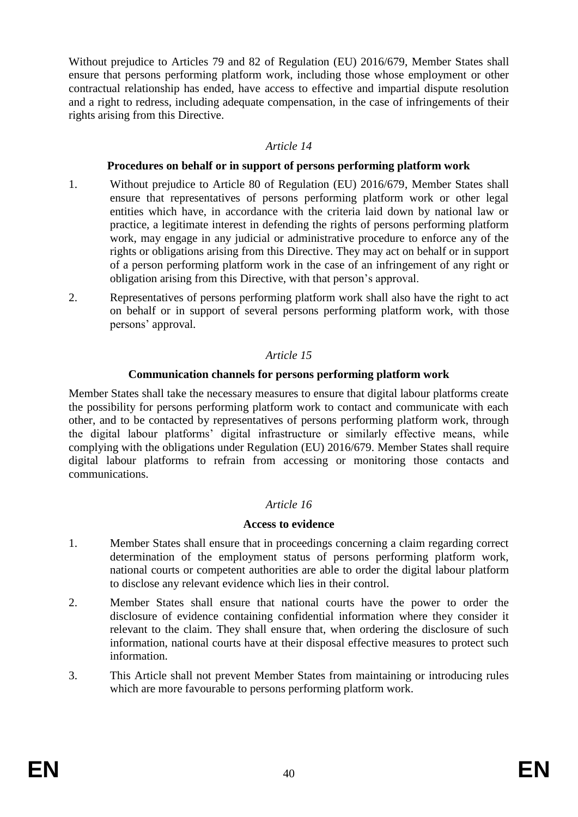Without prejudice to Articles 79 and 82 of Regulation (EU) 2016/679, Member States shall ensure that persons performing platform work, including those whose employment or other contractual relationship has ended, have access to effective and impartial dispute resolution and a right to redress, including adequate compensation, in the case of infringements of their rights arising from this Directive.

# *Article 14*

### **Procedures on behalf or in support of persons performing platform work**

- 1. Without prejudice to Article 80 of Regulation (EU) 2016/679, Member States shall ensure that representatives of persons performing platform work or other legal entities which have, in accordance with the criteria laid down by national law or practice, a legitimate interest in defending the rights of persons performing platform work, may engage in any judicial or administrative procedure to enforce any of the rights or obligations arising from this Directive. They may act on behalf or in support of a person performing platform work in the case of an infringement of any right or obligation arising from this Directive, with that person's approval.
- 2. Representatives of persons performing platform work shall also have the right to act on behalf or in support of several persons performing platform work, with those persons' approval.

# *Article 15*

# **Communication channels for persons performing platform work**

Member States shall take the necessary measures to ensure that digital labour platforms create the possibility for persons performing platform work to contact and communicate with each other, and to be contacted by representatives of persons performing platform work, through the digital labour platforms' digital infrastructure or similarly effective means, while complying with the obligations under Regulation (EU) 2016/679. Member States shall require digital labour platforms to refrain from accessing or monitoring those contacts and communications.

# *Article 16*

# **Access to evidence**

- 1. Member States shall ensure that in proceedings concerning a claim regarding correct determination of the employment status of persons performing platform work, national courts or competent authorities are able to order the digital labour platform to disclose any relevant evidence which lies in their control.
- 2. Member States shall ensure that national courts have the power to order the disclosure of evidence containing confidential information where they consider it relevant to the claim. They shall ensure that, when ordering the disclosure of such information, national courts have at their disposal effective measures to protect such information.
- 3. This Article shall not prevent Member States from maintaining or introducing rules which are more favourable to persons performing platform work.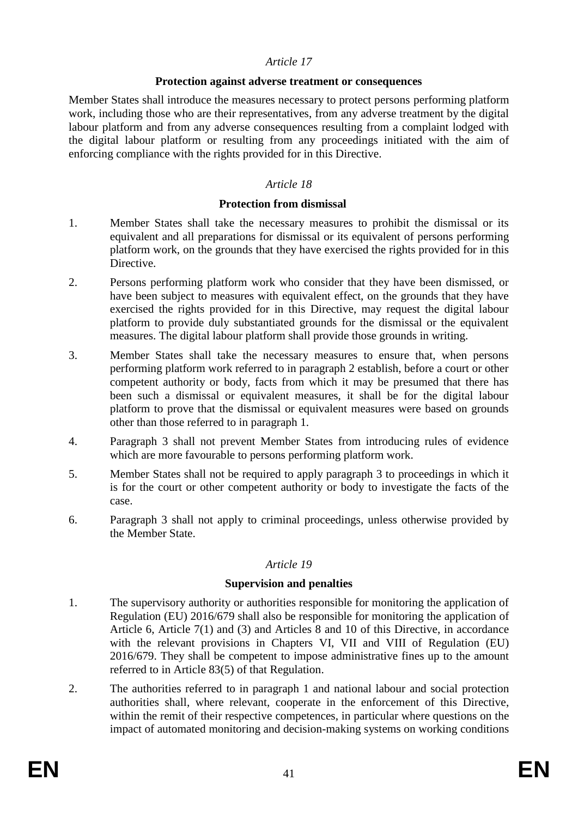#### **Protection against adverse treatment or consequences**

Member States shall introduce the measures necessary to protect persons performing platform work, including those who are their representatives, from any adverse treatment by the digital labour platform and from any adverse consequences resulting from a complaint lodged with the digital labour platform or resulting from any proceedings initiated with the aim of enforcing compliance with the rights provided for in this Directive.

## *Article 18*

## **Protection from dismissal**

- 1. Member States shall take the necessary measures to prohibit the dismissal or its equivalent and all preparations for dismissal or its equivalent of persons performing platform work, on the grounds that they have exercised the rights provided for in this Directive.
- 2. Persons performing platform work who consider that they have been dismissed, or have been subject to measures with equivalent effect, on the grounds that they have exercised the rights provided for in this Directive, may request the digital labour platform to provide duly substantiated grounds for the dismissal or the equivalent measures. The digital labour platform shall provide those grounds in writing.
- 3. Member States shall take the necessary measures to ensure that, when persons performing platform work referred to in paragraph 2 establish, before a court or other competent authority or body, facts from which it may be presumed that there has been such a dismissal or equivalent measures, it shall be for the digital labour platform to prove that the dismissal or equivalent measures were based on grounds other than those referred to in paragraph 1.
- 4. Paragraph 3 shall not prevent Member States from introducing rules of evidence which are more favourable to persons performing platform work.
- 5. Member States shall not be required to apply paragraph 3 to proceedings in which it is for the court or other competent authority or body to investigate the facts of the case.
- 6. Paragraph 3 shall not apply to criminal proceedings, unless otherwise provided by the Member State.

# *Article 19*

### **Supervision and penalties**

- 1. The supervisory authority or authorities responsible for monitoring the application of Regulation (EU) 2016/679 shall also be responsible for monitoring the application of Article 6, Article 7(1) and (3) and Articles 8 and 10 of this Directive, in accordance with the relevant provisions in Chapters VI, VII and VIII of Regulation (EU) 2016/679. They shall be competent to impose administrative fines up to the amount referred to in Article 83(5) of that Regulation.
- 2. The authorities referred to in paragraph 1 and national labour and social protection authorities shall, where relevant, cooperate in the enforcement of this Directive, within the remit of their respective competences, in particular where questions on the impact of automated monitoring and decision-making systems on working conditions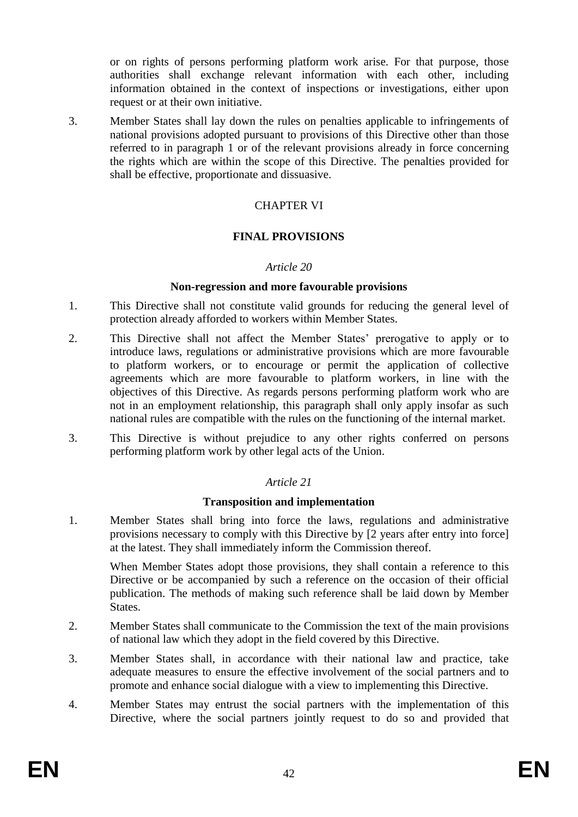or on rights of persons performing platform work arise. For that purpose, those authorities shall exchange relevant information with each other, including information obtained in the context of inspections or investigations, either upon request or at their own initiative.

3. Member States shall lay down the rules on penalties applicable to infringements of national provisions adopted pursuant to provisions of this Directive other than those referred to in paragraph 1 or of the relevant provisions already in force concerning the rights which are within the scope of this Directive. The penalties provided for shall be effective, proportionate and dissuasive.

# CHAPTER VI

## **FINAL PROVISIONS**

#### *Article 20*

#### **Non-regression and more favourable provisions**

- 1. This Directive shall not constitute valid grounds for reducing the general level of protection already afforded to workers within Member States.
- 2. This Directive shall not affect the Member States' prerogative to apply or to introduce laws, regulations or administrative provisions which are more favourable to platform workers, or to encourage or permit the application of collective agreements which are more favourable to platform workers, in line with the objectives of this Directive. As regards persons performing platform work who are not in an employment relationship, this paragraph shall only apply insofar as such national rules are compatible with the rules on the functioning of the internal market.
- 3. This Directive is without prejudice to any other rights conferred on persons performing platform work by other legal acts of the Union.

### *Article 21*

### **Transposition and implementation**

1. Member States shall bring into force the laws, regulations and administrative provisions necessary to comply with this Directive by [2 years after entry into force] at the latest. They shall immediately inform the Commission thereof.

When Member States adopt those provisions, they shall contain a reference to this Directive or be accompanied by such a reference on the occasion of their official publication. The methods of making such reference shall be laid down by Member States.

- 2. Member States shall communicate to the Commission the text of the main provisions of national law which they adopt in the field covered by this Directive.
- 3. Member States shall, in accordance with their national law and practice, take adequate measures to ensure the effective involvement of the social partners and to promote and enhance social dialogue with a view to implementing this Directive.
- 4. Member States may entrust the social partners with the implementation of this Directive, where the social partners jointly request to do so and provided that